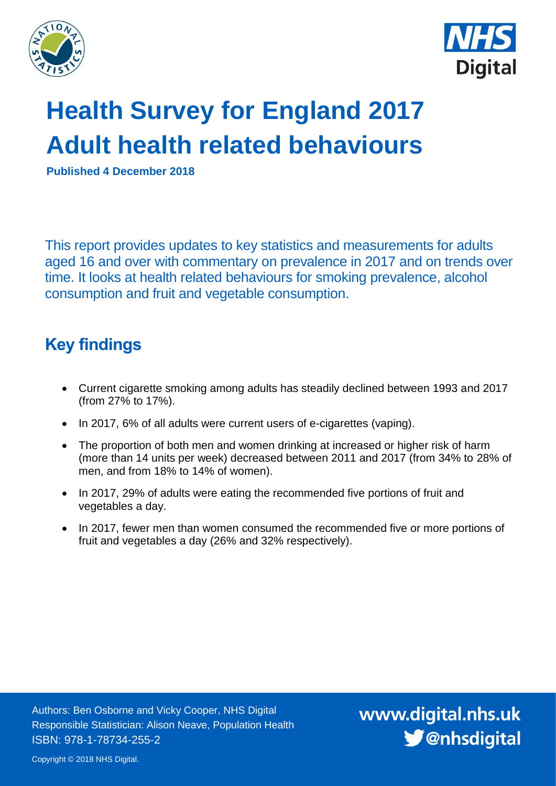



## **Health Survey for England 2017 Adult health related behaviours**

**Published 4 December 2018**

This report provides updates to key statistics and measurements for adults aged 16 and over with commentary on prevalence in 2017 and on trends over time. It looks at health related behaviours for smoking prevalence, alcohol consumption and fruit and vegetable consumption.

## <span id="page-0-0"></span>**Key findings**

- Current cigarette smoking among adults has steadily declined between 1993 and 2017 (from 27% to 17%).
- In 2017, 6% of all adults were current users of e-cigarettes (vaping).
- The proportion of both men and women drinking at increased or higher risk of harm (more than 14 units per week) decreased between 2011 and 2017 (from 34% to 28% of men, and from 18% to 14% of women).
- In 2017, 29% of adults were eating the recommended five portions of fruit and vegetables a day.
- In 2017, fewer men than women consumed the recommended five or more portions of fruit and vegetables a day (26% and 32% respectively).

Authors: Ben Osborne and Vicky Cooper, NHS Digital Responsible Statistician: Alison Neave, Population Health ISBN: 978-1-78734-255-2

www.digital.nhs.uk S @nhsdigital

Copyright © 2018 NHS Digital.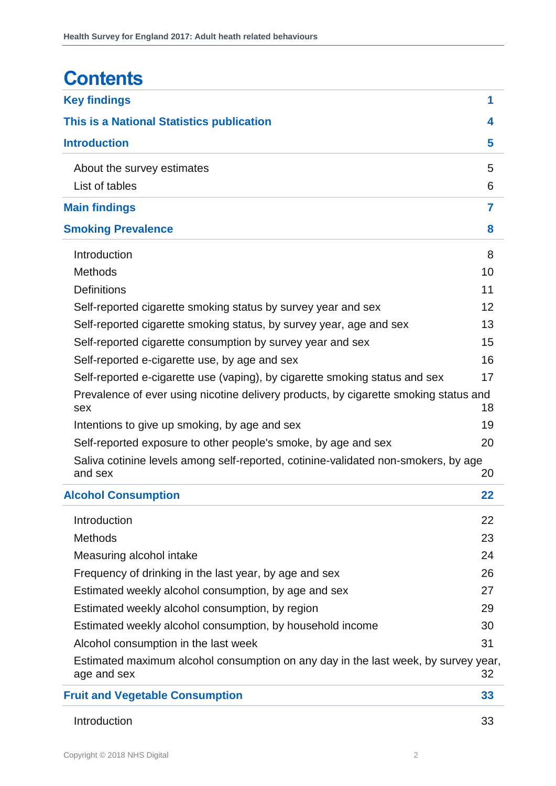## **Contents**

| <b>Key findings</b>                                                                               | 1  |
|---------------------------------------------------------------------------------------------------|----|
| This is a National Statistics publication                                                         | 4  |
| <b>Introduction</b>                                                                               | 5  |
| About the survey estimates                                                                        | 5  |
| List of tables                                                                                    | 6  |
| <b>Main findings</b>                                                                              | 7  |
| <b>Smoking Prevalence</b>                                                                         | 8  |
| Introduction                                                                                      | 8  |
| <b>Methods</b>                                                                                    | 10 |
| <b>Definitions</b>                                                                                | 11 |
| Self-reported cigarette smoking status by survey year and sex                                     | 12 |
| Self-reported cigarette smoking status, by survey year, age and sex                               | 13 |
| Self-reported cigarette consumption by survey year and sex                                        | 15 |
| Self-reported e-cigarette use, by age and sex                                                     | 16 |
| Self-reported e-cigarette use (vaping), by cigarette smoking status and sex                       | 17 |
| Prevalence of ever using nicotine delivery products, by cigarette smoking status and<br>sex       | 18 |
| Intentions to give up smoking, by age and sex                                                     | 19 |
| Self-reported exposure to other people's smoke, by age and sex                                    | 20 |
| Saliva cotinine levels among self-reported, cotinine-validated non-smokers, by age<br>and sex     | 20 |
| <b>Alcohol Consumption</b>                                                                        | 22 |
| Introduction                                                                                      | 22 |
| <b>Methods</b>                                                                                    | 23 |
| Measuring alcohol intake                                                                          | 24 |
| Frequency of drinking in the last year, by age and sex                                            | 26 |
| Estimated weekly alcohol consumption, by age and sex                                              | 27 |
| Estimated weekly alcohol consumption, by region                                                   | 29 |
| Estimated weekly alcohol consumption, by household income                                         | 30 |
| Alcohol consumption in the last week                                                              | 31 |
| Estimated maximum alcohol consumption on any day in the last week, by survey year,<br>age and sex | 32 |
| <b>Fruit and Vegetable Consumption</b>                                                            | 33 |
| Introduction                                                                                      | 33 |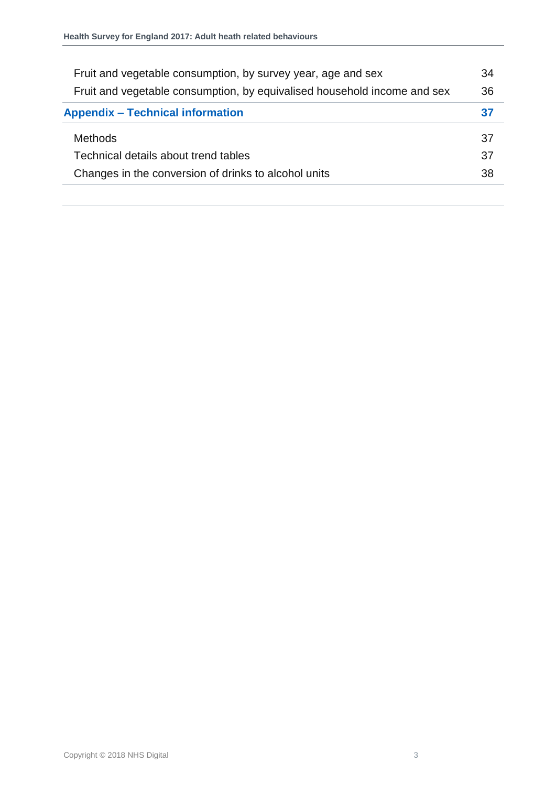| Fruit and vegetable consumption, by survey year, age and sex             |    |  |
|--------------------------------------------------------------------------|----|--|
| Fruit and vegetable consumption, by equivalised household income and sex |    |  |
| <b>Appendix - Technical information</b>                                  | 37 |  |
| <b>Methods</b>                                                           | 37 |  |
| Technical details about trend tables                                     | 37 |  |
| Changes in the conversion of drinks to alcohol units                     | 38 |  |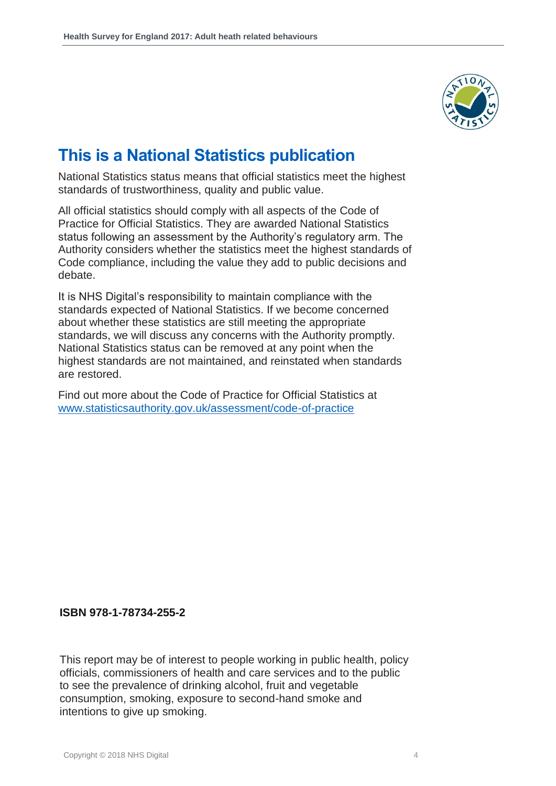

## **This is a National Statistics publication**

National Statistics status means that official statistics meet the highest standards of trustworthiness, quality and public value.

All official statistics should comply with all aspects of the Code of Practice for Official Statistics. They are awarded National Statistics status following an assessment by the Authority's regulatory arm. The Authority considers whether the statistics meet the highest standards of Code compliance, including the value they add to public decisions and debate.

It is NHS Digital's responsibility to maintain compliance with the standards expected of National Statistics. If we become concerned about whether these statistics are still meeting the appropriate standards, we will discuss any concerns with the Authority promptly. National Statistics status can be removed at any point when the highest standards are not maintained, and reinstated when standards are restored.

Find out more about the Code of Practice for Official Statistics at [www.statisticsauthority.gov.uk/assessment/code-of-practice](http://www.statisticsauthority.gov.uk/assessment/code-of-practice)

#### **ISBN 978-1-78734-255-2**

This report may be of interest to people working in public health, policy officials, commissioners of health and care services and to the public to see the prevalence of drinking alcohol, fruit and vegetable consumption, smoking, exposure to second-hand smoke and intentions to give up smoking.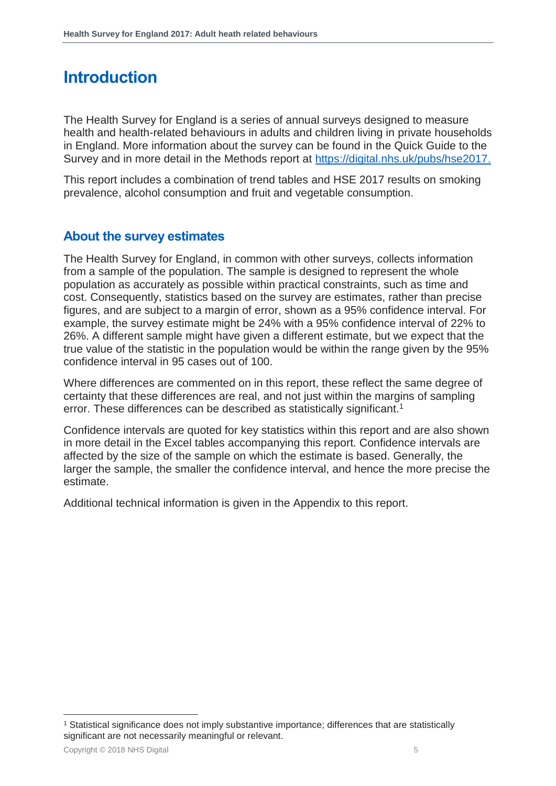## <span id="page-4-0"></span>**Introduction**

The Health Survey for England is a series of annual surveys designed to measure health and health-related behaviours in adults and children living in private households in England. More information about the survey can be found in the Quick Guide to the Survey and in more detail in the Methods report at [https://digital.nhs.uk/pubs/hse2017.](https://digital.nhs.uk/pubs/hse2017)

This report includes a combination of trend tables and HSE 2017 results on smoking prevalence, alcohol consumption and fruit and vegetable consumption.

#### <span id="page-4-1"></span>**About the survey estimates**

The Health Survey for England, in common with other surveys, collects information from a sample of the population. The sample is designed to represent the whole population as accurately as possible within practical constraints, such as time and cost. Consequently, statistics based on the survey are estimates, rather than precise figures, and are subject to a margin of error, shown as a 95% confidence interval. For example, the survey estimate might be 24% with a 95% confidence interval of 22% to 26%. A different sample might have given a different estimate, but we expect that the true value of the statistic in the population would be within the range given by the 95% confidence interval in 95 cases out of 100.

Where differences are commented on in this report, these reflect the same degree of certainty that these differences are real, and not just within the margins of sampling error. These differences can be described as statistically significant.<sup>1</sup>

Confidence intervals are quoted for key statistics within this report and are also shown in more detail in the Excel tables accompanying this report. Confidence intervals are affected by the size of the sample on which the estimate is based. Generally, the larger the sample, the smaller the confidence interval, and hence the more precise the estimate.

Additional technical information is given in the Appendix to this report.

l <sup>1</sup> Statistical significance does not imply substantive importance; differences that are statistically significant are not necessarily meaningful or relevant.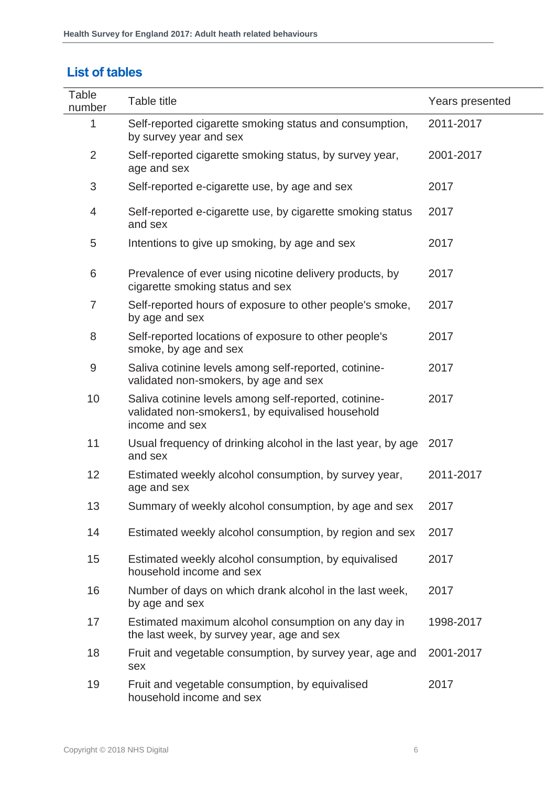#### <span id="page-5-0"></span>**List of tables**

| Table<br>number | Table title                                                                                                                 | Years presented |
|-----------------|-----------------------------------------------------------------------------------------------------------------------------|-----------------|
| 1               | Self-reported cigarette smoking status and consumption,<br>by survey year and sex                                           | 2011-2017       |
| $\overline{2}$  | Self-reported cigarette smoking status, by survey year,<br>age and sex                                                      | 2001-2017       |
| 3               | Self-reported e-cigarette use, by age and sex                                                                               | 2017            |
| 4               | Self-reported e-cigarette use, by cigarette smoking status<br>and sex                                                       | 2017            |
| 5               | Intentions to give up smoking, by age and sex                                                                               | 2017            |
| 6               | Prevalence of ever using nicotine delivery products, by<br>cigarette smoking status and sex                                 | 2017            |
| 7               | Self-reported hours of exposure to other people's smoke,<br>by age and sex                                                  | 2017            |
| 8               | Self-reported locations of exposure to other people's<br>smoke, by age and sex                                              | 2017            |
| 9               | Saliva cotinine levels among self-reported, cotinine-<br>validated non-smokers, by age and sex                              | 2017            |
| 10              | Saliva cotinine levels among self-reported, cotinine-<br>validated non-smokers1, by equivalised household<br>income and sex | 2017            |
| 11              | Usual frequency of drinking alcohol in the last year, by age<br>and sex                                                     | 2017            |
| 12              | Estimated weekly alcohol consumption, by survey year,<br>age and sex                                                        | 2011-2017       |
| 13              | Summary of weekly alcohol consumption, by age and sex                                                                       | 2017            |
| 14              | Estimated weekly alcohol consumption, by region and sex                                                                     | 2017            |
| 15              | Estimated weekly alcohol consumption, by equivalised<br>household income and sex                                            | 2017            |
| 16              | Number of days on which drank alcohol in the last week,<br>by age and sex                                                   | 2017            |
| 17              | Estimated maximum alcohol consumption on any day in<br>the last week, by survey year, age and sex                           | 1998-2017       |
| 18              | Fruit and vegetable consumption, by survey year, age and<br>sex                                                             | 2001-2017       |
| 19              | Fruit and vegetable consumption, by equivalised<br>household income and sex                                                 | 2017            |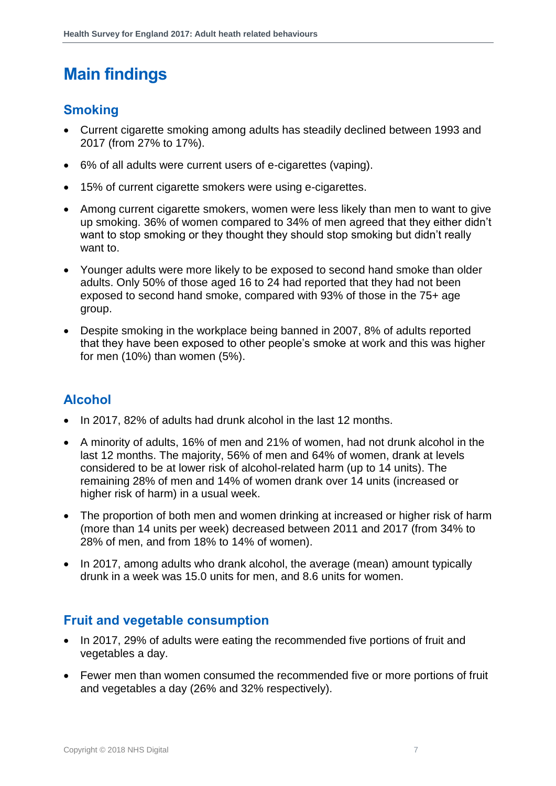## <span id="page-6-0"></span>**Main findings**

#### **Smoking**

- Current cigarette smoking among adults has steadily declined between 1993 and 2017 (from 27% to 17%).
- 6% of all adults were current users of e-cigarettes (vaping).
- 15% of current cigarette smokers were using e-cigarettes.
- Among current cigarette smokers, women were less likely than men to want to give up smoking. 36% of women compared to 34% of men agreed that they either didn't want to stop smoking or they thought they should stop smoking but didn't really want to.
- Younger adults were more likely to be exposed to second hand smoke than older adults. Only 50% of those aged 16 to 24 had reported that they had not been exposed to second hand smoke, compared with 93% of those in the 75+ age group.
- Despite smoking in the workplace being banned in 2007, 8% of adults reported that they have been exposed to other people's smoke at work and this was higher for men (10%) than women (5%).

#### **Alcohol**

- In 2017, 82% of adults had drunk alcohol in the last 12 months.
- A minority of adults, 16% of men and 21% of women, had not drunk alcohol in the last 12 months. The majority, 56% of men and 64% of women, drank at levels considered to be at lower risk of alcohol-related harm (up to 14 units). The remaining 28% of men and 14% of women drank over 14 units (increased or higher risk of harm) in a usual week.
- The proportion of both men and women drinking at increased or higher risk of harm (more than 14 units per week) decreased between 2011 and 2017 (from 34% to 28% of men, and from 18% to 14% of women).
- In 2017, among adults who drank alcohol, the average (mean) amount typically drunk in a week was 15.0 units for men, and 8.6 units for women.

#### **Fruit and vegetable consumption**

- In 2017, 29% of adults were eating the recommended five portions of fruit and vegetables a day.
- Fewer men than women consumed the recommended five or more portions of fruit and vegetables a day (26% and 32% respectively).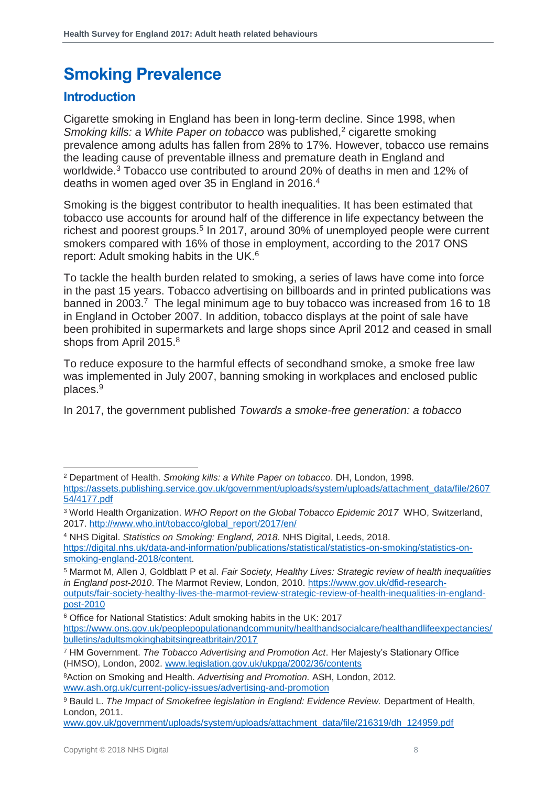## <span id="page-7-0"></span>**Smoking Prevalence**

#### <span id="page-7-1"></span>**Introduction**

Cigarette smoking in England has been in long-term decline. Since 1998, when *Smoking kills: a White Paper on tobacco* was published,<sup>2</sup> cigarette smoking prevalence among adults has fallen from 28% to 17%. However, tobacco use remains the leading cause of preventable illness and premature death in England and worldwide.<sup>3</sup> Tobacco use contributed to around 20% of deaths in men and 12% of deaths in women aged over 35 in England in 2016.<sup>4</sup>

Smoking is the biggest contributor to health inequalities. It has been estimated that tobacco use accounts for around half of the difference in life expectancy between the richest and poorest groups.<sup>5</sup> In 2017, around 30% of unemployed people were current smokers compared with 16% of those in employment, according to the 2017 ONS report: Adult smoking habits in the UK. 6

To tackle the health burden related to smoking, a series of laws have come into force in the past 15 years. Tobacco advertising on billboards and in printed publications was banned in 2003.<sup>7</sup> The legal minimum age to buy tobacco was increased from 16 to 18 in England in October 2007. In addition, tobacco displays at the point of sale have been prohibited in supermarkets and large shops since April 2012 and ceased in small shops from April 2015.<sup>8</sup>

To reduce exposure to the harmful effects of secondhand smoke, a smoke free law was implemented in July 2007, banning smoking in workplaces and enclosed public places.<sup>9</sup>

In 2017, the government published *Towards a smoke-free generation: a tobacco* 

<sup>4</sup> NHS Digital. *Statistics on Smoking: England, 2018*. NHS Digital, Leeds, 2018. [https://digital.nhs.uk/data-and-information/publications/statistical/statistics-on-smoking/statistics-on](https://digital.nhs.uk/data-and-information/publications/statistical/statistics-on-smoking/statistics-on-smoking-england-2018/content)[smoking-england-2018/content.](https://digital.nhs.uk/data-and-information/publications/statistical/statistics-on-smoking/statistics-on-smoking-england-2018/content)

<sup>5</sup> Marmot M, Allen J, Goldblatt P et al. *Fair Society, Healthy Lives: Strategic review of health inequalities in England post-2010*. The Marmot Review, London, 2010. [https://www.gov.uk/dfid-research](https://www.gov.uk/dfid-research-outputs/fair-society-healthy-lives-the-marmot-review-strategic-review-of-health-inequalities-in-england-post-2010)[outputs/fair-society-healthy-lives-the-marmot-review-strategic-review-of-health-inequalities-in-england](https://www.gov.uk/dfid-research-outputs/fair-society-healthy-lives-the-marmot-review-strategic-review-of-health-inequalities-in-england-post-2010)[post-2010](https://www.gov.uk/dfid-research-outputs/fair-society-healthy-lives-the-marmot-review-strategic-review-of-health-inequalities-in-england-post-2010)

l <sup>2</sup> Department of Health. *Smoking kills: a White Paper on tobacco*. DH, London, 1998.

[https://assets.publishing.service.gov.uk/government/uploads/system/uploads/attachment\\_data/file/2607](https://assets.publishing.service.gov.uk/government/uploads/system/uploads/attachment_data/file/260754/4177.pdf) [54/4177.pdf](https://assets.publishing.service.gov.uk/government/uploads/system/uploads/attachment_data/file/260754/4177.pdf) 

<sup>3</sup> World Health Organization. *WHO Report on the Global Tobacco Epidemic 2017* WHO, Switzerland, 2017. [http://www.who.int/tobacco/global\\_report/2017/en/](http://www.who.int/tobacco/global_report/2017/en/)

<sup>6</sup> Office for National Statistics: Adult smoking habits in the UK: 2017 [https://www.ons.gov.uk/peoplepopulationandcommunity/healthandsocialcare/healthandlifeexpectancies/](https://www.ons.gov.uk/peoplepopulationandcommunity/healthandsocialcare/healthandlifeexpectancies/bulletins/adultsmokinghabitsingreatbritain/2017) [bulletins/adultsmokinghabitsingreatbritain/2017](https://www.ons.gov.uk/peoplepopulationandcommunity/healthandsocialcare/healthandlifeexpectancies/bulletins/adultsmokinghabitsingreatbritain/2017)

<sup>7</sup> HM Government. *The Tobacco Advertising and Promotion Act*. Her Majesty's Stationary Office (HMSO), London, 2002. [www.legislation.gov.uk/ukpga/2002/36/contents](http://www.legislation.gov.uk/ukpga/2002/36/contents)

<sup>8</sup>Action on Smoking and Health. *Advertising and Promotion.* ASH, London, 2012*.* [www.ash.org.uk/current-policy-issues/advertising-and-promotion](http://www.ash.org.uk/current-policy-issues/advertising-and-promotion)

<sup>9</sup> Bauld L. *The Impact of Smokefree legislation in England: Evidence Review.* Department of Health, London, 2011.

[www.gov.uk/government/uploads/system/uploads/attachment\\_data/file/216319/dh\\_124959.pdf](http://www.gov.uk/government/uploads/system/uploads/attachment_data/file/216319/dh_124959.pdf)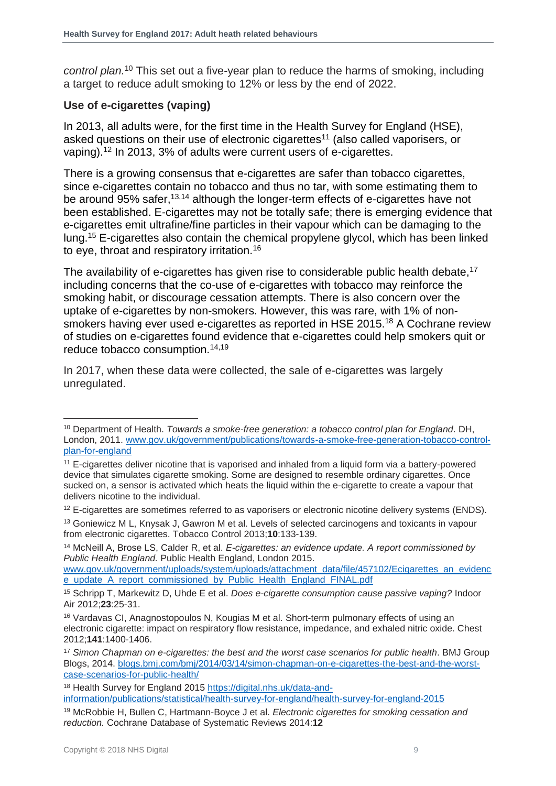*control plan.*<sup>10</sup> This set out a five-year plan to reduce the harms of smoking, including a target to reduce adult smoking to 12% or less by the end of 2022.

#### **Use of e-cigarettes (vaping)**

In 2013, all adults were, for the first time in the Health Survey for England (HSE), asked questions on their use of electronic cigarettes<sup>11</sup> (also called vaporisers, or vaping).<sup>12</sup> In 2013, 3% of adults were current users of e-cigarettes.

<span id="page-8-0"></span>There is a growing consensus that e-cigarettes are safer than tobacco cigarettes, since e-cigarettes contain no tobacco and thus no tar, with some estimating them to be around 95% safer,<sup>13,14</sup> although the longer-term effects of e-cigarettes have not been established. E-cigarettes may not be totally safe; there is emerging evidence that e-cigarettes emit ultrafine/fine particles in their vapour which can be damaging to the lung.<sup>15</sup> E-cigarettes also contain the chemical propylene glycol, which has been linked to eye, throat and respiratory irritation.<sup>16</sup>

The availability of e-cigarettes has given rise to considerable public health debate.<sup>17</sup> including concerns that the co-use of e-cigarettes with tobacco may reinforce the smoking habit, or discourage cessation attempts. There is also concern over the uptake of e-cigarettes by non-smokers. However, this was rare, with 1% of nonsmokers having ever used e-cigarettes as reported in HSE 2015.<sup>18</sup> A Cochrane review of studies on e-cigarettes found evidence that e-cigarettes could help smokers quit or reduce tobacco consumption.[14,1](#page-8-0)9

In 2017, when these data were collected, the sale of e-cigarettes was largely unregulated.

[www.gov.uk/government/uploads/system/uploads/attachment\\_data/file/457102/Ecigarettes\\_an\\_evidenc](http://www.gov.uk/government/uploads/system/uploads/attachment_data/file/457102/Ecigarettes_an_evidence_update_A_report_commissioned_by_Public_Health_England_FINAL.pdf) [e\\_update\\_A\\_report\\_commissioned\\_by\\_Public\\_Health\\_England\\_FINAL.pdf](http://www.gov.uk/government/uploads/system/uploads/attachment_data/file/457102/Ecigarettes_an_evidence_update_A_report_commissioned_by_Public_Health_England_FINAL.pdf)

l

<sup>10</sup> Department of Health. *Towards a smoke-free generation: a tobacco control plan for England*. DH, London, 2011. [www.gov.uk/government/publications/towards-a-smoke-free-generation-tobacco-control](http://www.gov.uk/government/publications/towards-a-smoke-free-generation-tobacco-control-plan-for-england)[plan-for-england](http://www.gov.uk/government/publications/towards-a-smoke-free-generation-tobacco-control-plan-for-england)

<sup>11</sup> E-cigarettes deliver nicotine that is vaporised and inhaled from a liquid form via a battery-powered device that simulates cigarette smoking. Some are designed to resemble ordinary cigarettes. Once sucked on, a sensor is activated which heats the liquid within the e-cigarette to create a vapour that delivers nicotine to the individual.

<sup>&</sup>lt;sup>12</sup> E-cigarettes are sometimes referred to as vaporisers or electronic nicotine delivery systems (ENDS).

<sup>13</sup> Goniewicz M L, Knysak J, Gawron M et al. Levels of selected carcinogens and toxicants in vapour from electronic cigarettes. Tobacco Control 2013;**10**:133-139.

<sup>14</sup> McNeill A, Brose LS, Calder R, et al. *E-cigarettes: an evidence update. A report commissioned by Public Health England.* Public Health England, London 2015.

<sup>15</sup> Schripp T, Markewitz D, Uhde E et al. *Does e-cigarette consumption cause passive vaping?* Indoor Air 2012;**23**:25-31.

<sup>16</sup> Vardavas CI, Anagnostopoulos N, Kougias M et al. Short-term pulmonary effects of using an electronic cigarette: impact on respiratory flow resistance, impedance, and exhaled nitric oxide. Chest 2012;**141**:1400-1406.

<sup>17</sup> *Simon Chapman on e-cigarettes: the best and the worst case scenarios for public health*. BMJ Group Blogs, 2014. [blogs.bmj.com/bmj/2014/03/14/simon-chapman-on-e-cigarettes-the-best-and-the-worst](http://blogs.bmj.com/bmj/2014/03/14/simon-chapman-on-e-cigarettes-the-best-and-the-worst-case-scenarios-for-public-health/)[case-scenarios-for-public-health/](http://blogs.bmj.com/bmj/2014/03/14/simon-chapman-on-e-cigarettes-the-best-and-the-worst-case-scenarios-for-public-health/)

<sup>18</sup> Health Survey for England 2015 [https://digital.nhs.uk/data-and-](https://digital.nhs.uk/data-and-information/publications/statistical/health-survey-for-england/health-survey-for-england-2015)

[information/publications/statistical/health-survey-for-england/health-survey-for-england-2015](https://digital.nhs.uk/data-and-information/publications/statistical/health-survey-for-england/health-survey-for-england-2015)

<sup>19</sup> McRobbie H, Bullen C, Hartmann-Boyce J et al. *Electronic cigarettes for smoking cessation and reduction.* Cochrane Database of Systematic Reviews 2014:**12**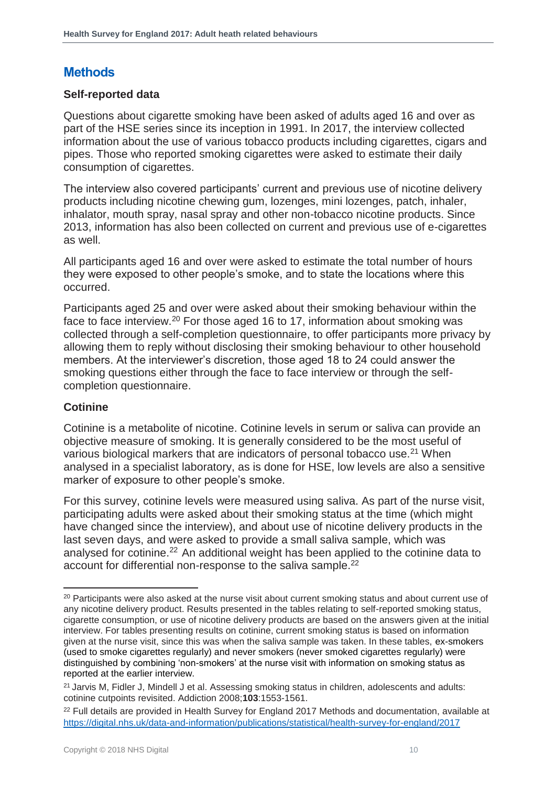#### <span id="page-9-0"></span>**Methods**

#### **Self-reported data**

Questions about cigarette smoking have been asked of adults aged 16 and over as part of the HSE series since its inception in 1991. In 2017, the interview collected information about the use of various tobacco products including cigarettes, cigars and pipes. Those who reported smoking cigarettes were asked to estimate their daily consumption of cigarettes.

The interview also covered participants' current and previous use of nicotine delivery products including nicotine chewing gum, lozenges, mini lozenges, patch, inhaler, inhalator, mouth spray, nasal spray and other non-tobacco nicotine products. Since 2013, information has also been collected on current and previous use of e-cigarettes as well.

All participants aged 16 and over were asked to estimate the total number of hours they were exposed to other people's smoke, and to state the locations where this occurred.

Participants aged 25 and over were asked about their smoking behaviour within the face to face interview.<sup>20</sup> For those aged 16 to 17, information about smoking was collected through a self-completion questionnaire, to offer participants more privacy by allowing them to reply without disclosing their smoking behaviour to other household members. At the interviewer's discretion, those aged 18 to 24 could answer the smoking questions either through the face to face interview or through the selfcompletion questionnaire.

#### **Cotinine**

<span id="page-9-2"></span>l

<span id="page-9-1"></span>Cotinine is a metabolite of nicotine. Cotinine levels in serum or saliva can provide an objective measure of smoking. It is generally considered to be the most useful of various biological markers that are indicators of personal tobacco use.<sup>21</sup> When analysed in a specialist laboratory, as is done for HSE, low levels are also a sensitive marker of exposure to other people's smoke.

For this survey, cotinine levels were measured using saliva. As part of the nurse visit, participating adults were asked about their smoking status at the time (which might have changed since the interview), and about use of nicotine delivery products in the last seven days, and were asked to provide a small saliva sample, which was analysed for cotinine.<sup>22</sup> An additional weight has been applied to the cotinine data to account for differential non-response to the saliva sample.<sup>22</sup>

<sup>&</sup>lt;sup>20</sup> Participants were also asked at the nurse visit about current smoking status and about current use of any nicotine delivery product. Results presented in the tables relating to self-reported smoking status, cigarette consumption, or use of nicotine delivery products are based on the answers given at the initial interview. For tables presenting results on cotinine, current smoking status is based on information given at the nurse visit, since this was when the saliva sample was taken. In these tables, ex-smokers (used to smoke cigarettes regularly) and never smokers (never smoked cigarettes regularly) were distinguished by combining 'non-smokers' at the nurse visit with information on smoking status as reported at the earlier interview.

<sup>&</sup>lt;sup>21</sup> Jarvis M, Fidler J, Mindell J et al. Assessing smoking status in children, adolescents and adults: cotinine cutpoints revisited. Addiction 2008;**103**:1553-1561.

<sup>&</sup>lt;sup>22</sup> Full details are provided in Health Survey for England 2017 Methods and documentation, available at <https://digital.nhs.uk/data-and-information/publications/statistical/health-survey-for-england/2017>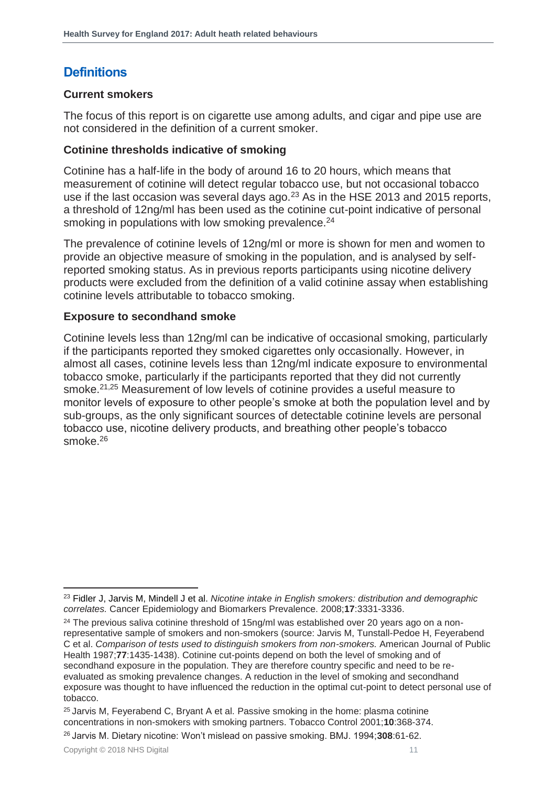#### <span id="page-10-0"></span>**Definitions**

#### **Current smokers**

The focus of this report is on cigarette use among adults, and cigar and pipe use are not considered in the definition of a current smoker.

#### **Cotinine thresholds indicative of smoking**

Cotinine has a half-life in the body of around 16 to 20 hours, which means that measurement of cotinine will detect regular tobacco use, but not occasional tobacco use if the last occasion was several days ago.<sup>23</sup> As in the HSE 2013 and 2015 reports, a threshold of 12ng/ml has been used as the cotinine cut-point indicative of personal smoking in populations with low smoking prevalence.<sup>24</sup>

The prevalence of cotinine levels of 12ng/ml or more is shown for men and women to provide an objective measure of smoking in the population, and is analysed by selfreported smoking status. As in previous reports participants using nicotine delivery products were excluded from the definition of a valid cotinine assay when establishing cotinine levels attributable to tobacco smoking.

#### **Exposure to secondhand smoke**

Cotinine levels less than 12ng/ml can be indicative of occasional smoking, particularly if the participants reported they smoked cigarettes only occasionally. However, in almost all cases, cotinine levels less than 12ng/ml indicate exposure to environmental tobacco smoke, particularly if the participants reported that they did not currently smoke.[21,2](#page-9-1)5 Measurement of low levels of cotinine provides a useful measure to monitor levels of exposure to other people's smoke at both the population level and by sub-groups, as the only significant sources of detectable cotinine levels are personal tobacco use, nicotine delivery products, and breathing other people's tobacco smoke.<sup>26</sup>

l

<sup>23</sup> Fidler J, Jarvis M, Mindell J et al. *Nicotine intake in English smokers: distribution and demographic correlates.* Cancer Epidemiology and Biomarkers Prevalence. 2008;**17**:3331-3336.

<sup>&</sup>lt;sup>24</sup> The previous saliva cotinine threshold of 15ng/ml was established over 20 years ago on a nonrepresentative sample of smokers and non-smokers (source: Jarvis M, Tunstall-Pedoe H, Feyerabend C et al. *Comparison of tests used to distinguish smokers from non-smokers.* American Journal of Public Health 1987;**77**:1435-1438). Cotinine cut-points depend on both the level of smoking and of secondhand exposure in the population. They are therefore country specific and need to be reevaluated as smoking prevalence changes. A reduction in the level of smoking and secondhand exposure was thought to have influenced the reduction in the optimal cut-point to detect personal use of tobacco.

 $25$  Jarvis M, Feyerabend C, Bryant A et al. Passive smoking in the home: plasma cotinine concentrations in non-smokers with smoking partners. Tobacco Control 2001;**10**:368-374.

<sup>26</sup> Jarvis M. Dietary nicotine: Won't mislead on passive smoking. BMJ. 1994;**308**:61-62.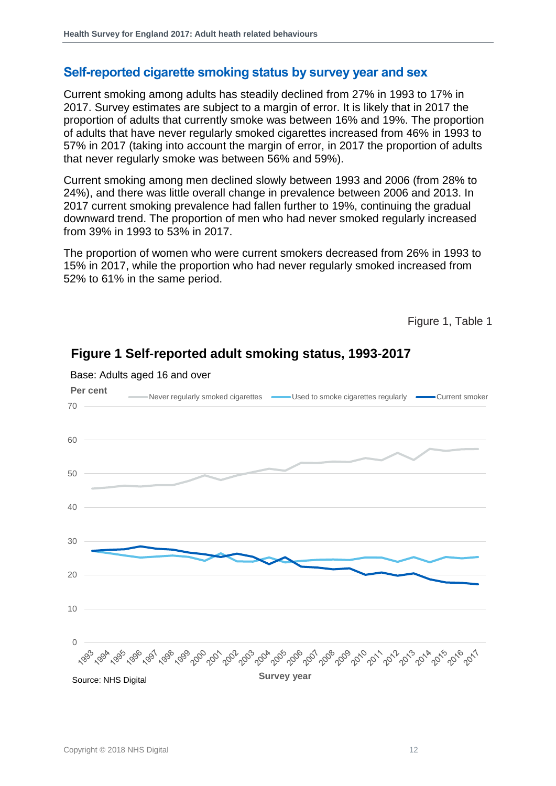#### <span id="page-11-0"></span>**Self-reported cigarette smoking status by survey year and sex**

Current smoking among adults has steadily declined from 27% in 1993 to 17% in 2017. Survey estimates are subject to a margin of error. It is likely that in 2017 the proportion of adults that currently smoke was between 16% and 19%. The proportion of adults that have never regularly smoked cigarettes increased from 46% in 1993 to 57% in 2017 (taking into account the margin of error, in 2017 the proportion of adults that never regularly smoke was between 56% and 59%).

Current smoking among men declined slowly between 1993 and 2006 (from 28% to 24%), and there was little overall change in prevalence between 2006 and 2013. In 2017 current smoking prevalence had fallen further to 19%, continuing the gradual downward trend. The proportion of men who had never smoked regularly increased from 39% in 1993 to 53% in 2017.

The proportion of women who were current smokers decreased from 26% in 1993 to 15% in 2017, while the proportion who had never regularly smoked increased from 52% to 61% in the same period.

Figure 1, Table 1



#### **Figure 1 Self-reported adult smoking status, 1993-2017**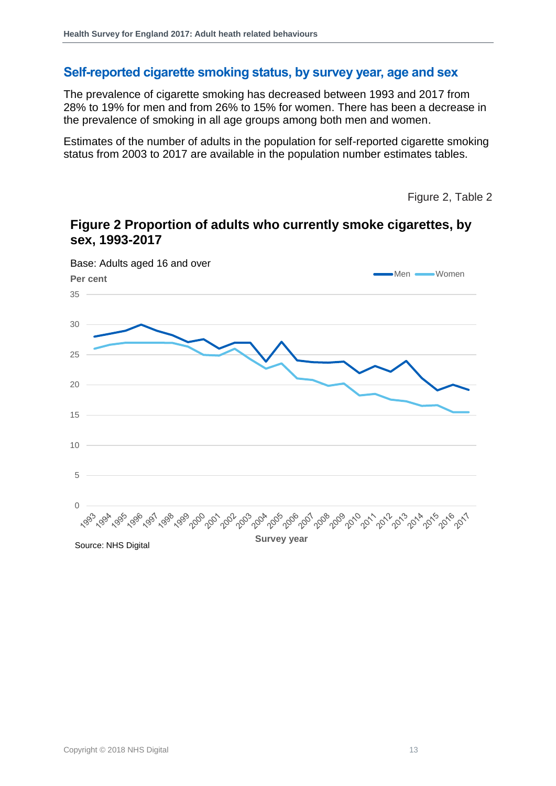#### <span id="page-12-0"></span>**Self-reported cigarette smoking status, by survey year, age and sex**

The prevalence of cigarette smoking has decreased between 1993 and 2017 from 28% to 19% for men and from 26% to 15% for women. There has been a decrease in the prevalence of smoking in all age groups among both men and women.

Estimates of the number of adults in the population for self-reported cigarette smoking status from 2003 to 2017 are available in the population number estimates tables.

Figure 2, Table 2

#### **Figure 2 Proportion of adults who currently smoke cigarettes, by sex, 1993-2017**

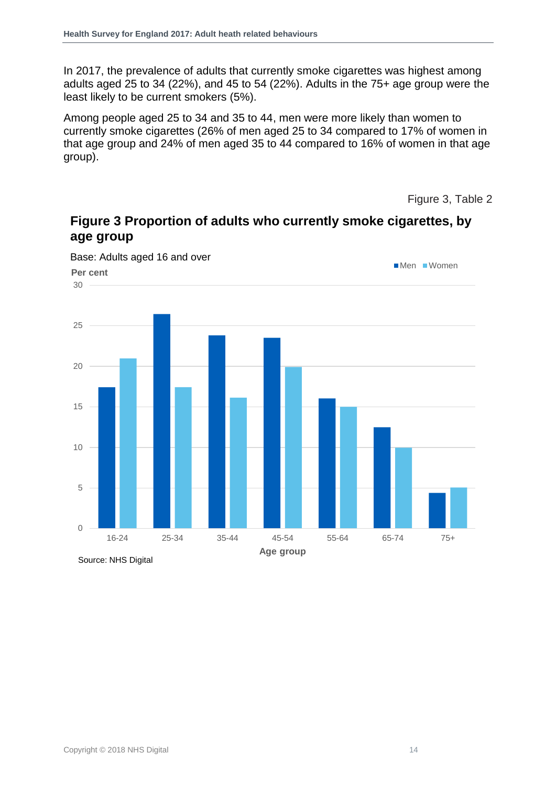In 2017, the prevalence of adults that currently smoke cigarettes was highest among adults aged 25 to 34 (22%), and 45 to 54 (22%). Adults in the 75+ age group were the least likely to be current smokers (5%).

Among people aged 25 to 34 and 35 to 44, men were more likely than women to currently smoke cigarettes (26% of men aged 25 to 34 compared to 17% of women in that age group and 24% of men aged 35 to 44 compared to 16% of women in that age group).

Figure 3, Table 2

#### **Figure 3 Proportion of adults who currently smoke cigarettes, by age group**



Base: Adults aged 16 and over

Source: NHS Digital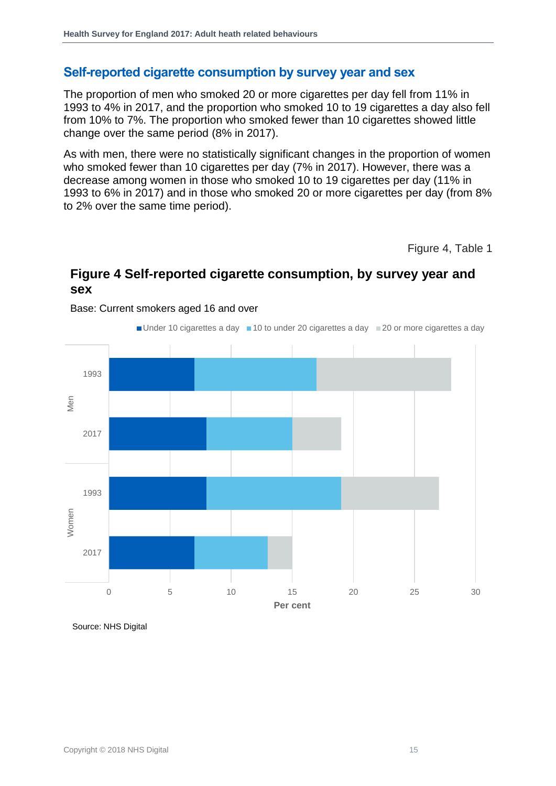#### <span id="page-14-0"></span>**Self-reported cigarette consumption by survey year and sex**

The proportion of men who smoked 20 or more cigarettes per day fell from 11% in 1993 to 4% in 2017, and the proportion who smoked 10 to 19 cigarettes a day also fell from 10% to 7%. The proportion who smoked fewer than 10 cigarettes showed little change over the same period (8% in 2017).

As with men, there were no statistically significant changes in the proportion of women who smoked fewer than 10 cigarettes per day (7% in 2017). However, there was a decrease among women in those who smoked 10 to 19 cigarettes per day (11% in 1993 to 6% in 2017) and in those who smoked 20 or more cigarettes per day (from 8% to 2% over the same time period).

Figure 4, Table 1

#### **Figure 4 Self-reported cigarette consumption, by survey year and sex**



Base: Current smokers aged 16 and over

Source: NHS Digital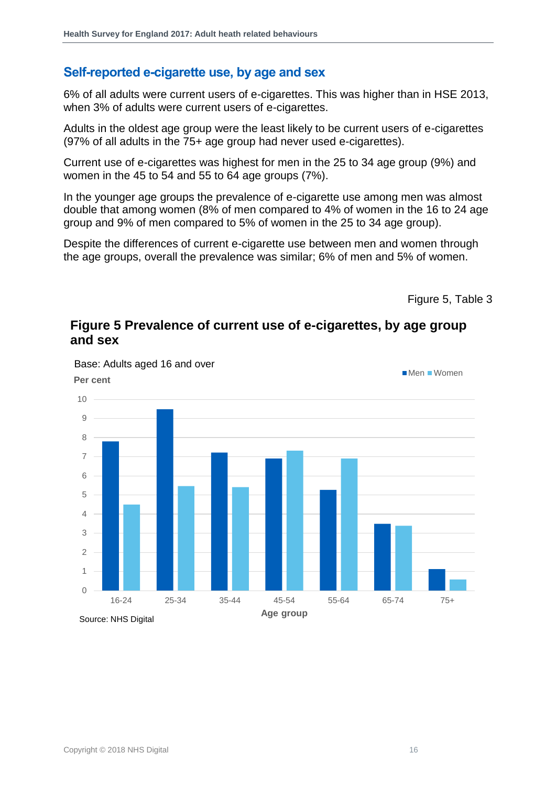#### <span id="page-15-0"></span>**Self-reported e-cigarette use, by age and sex**

6% of all adults were current users of e-cigarettes. This was higher than in HSE 2013, when 3% of adults were current users of e-cigarettes.

Adults in the oldest age group were the least likely to be current users of e-cigarettes (97% of all adults in the 75+ age group had never used e-cigarettes).

Current use of e-cigarettes was highest for men in the 25 to 34 age group (9%) and women in the 45 to 54 and 55 to 64 age groups (7%).

In the younger age groups the prevalence of e-cigarette use among men was almost double that among women (8% of men compared to 4% of women in the 16 to 24 age group and 9% of men compared to 5% of women in the 25 to 34 age group).

Despite the differences of current e-cigarette use between men and women through the age groups, overall the prevalence was similar; 6% of men and 5% of women.

Figure 5, Table 3

#### **Figure 5 Prevalence of current use of e-cigarettes, by age group and sex**



Copyright © 2018 NHS Digital 16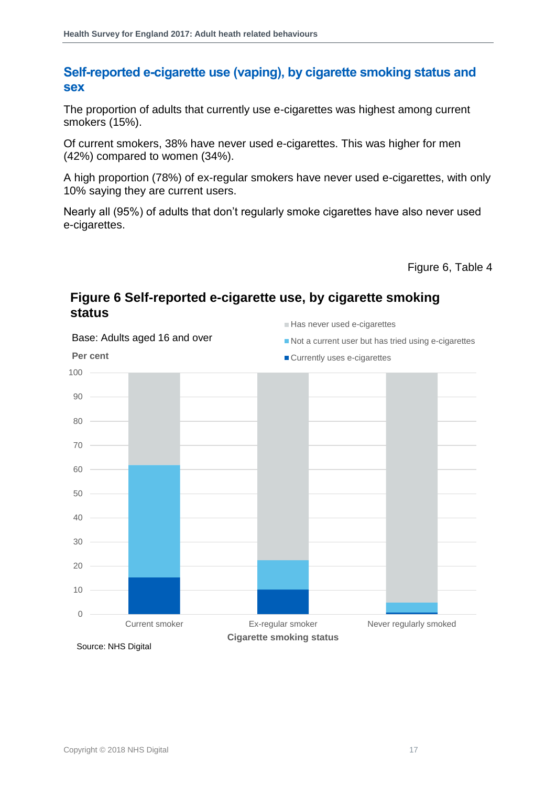#### <span id="page-16-0"></span>**Self-reported e-cigarette use (vaping), by cigarette smoking status and sex**

The proportion of adults that currently use e-cigarettes was highest among current smokers (15%).

Of current smokers, 38% have never used e-cigarettes. This was higher for men (42%) compared to women (34%).

A high proportion (78%) of ex-regular smokers have never used e-cigarettes, with only 10% saying they are current users.

Nearly all (95%) of adults that don't regularly smoke cigarettes have also never used e-cigarettes.

Figure 6, Table 4

#### **Figure 6 Self-reported e-cigarette use, by cigarette smoking status**

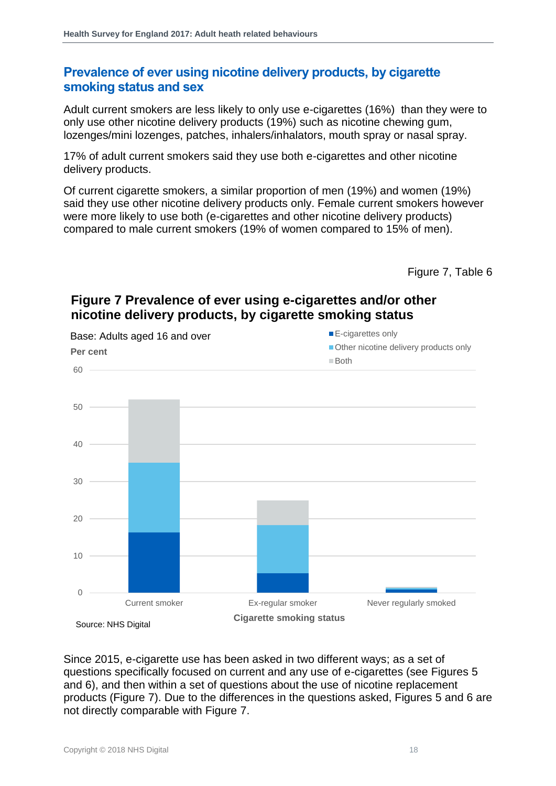#### <span id="page-17-0"></span>**Prevalence of ever using nicotine delivery products, by cigarette smoking status and sex**

Adult current smokers are less likely to only use e-cigarettes (16%) than they were to only use other nicotine delivery products (19%) such as nicotine chewing gum, lozenges/mini lozenges, patches, inhalers/inhalators, mouth spray or nasal spray.

17% of adult current smokers said they use both e-cigarettes and other nicotine delivery products.

Of current cigarette smokers, a similar proportion of men (19%) and women (19%) said they use other nicotine delivery products only. Female current smokers however were more likely to use both (e-cigarettes and other nicotine delivery products) compared to male current smokers (19% of women compared to 15% of men).

Figure 7, Table 6

#### **Figure 7 Prevalence of ever using e-cigarettes and/or other nicotine delivery products, by cigarette smoking status**



Since 2015, e-cigarette use has been asked in two different ways; as a set of questions specifically focused on current and any use of e-cigarettes (see Figures 5 and 6), and then within a set of questions about the use of nicotine replacement products (Figure 7). Due to the differences in the questions asked, Figures 5 and 6 are not directly comparable with Figure 7.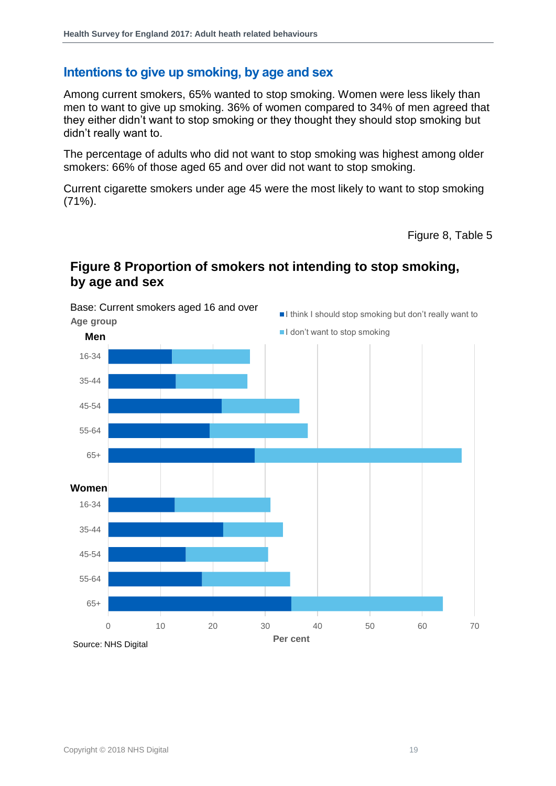#### <span id="page-18-0"></span>**Intentions to give up smoking, by age and sex**

Among current smokers, 65% wanted to stop smoking. Women were less likely than men to want to give up smoking. 36% of women compared to 34% of men agreed that they either didn't want to stop smoking or they thought they should stop smoking but didn't really want to.

The percentage of adults who did not want to stop smoking was highest among older smokers: 66% of those aged 65 and over did not want to stop smoking.

Current cigarette smokers under age 45 were the most likely to want to stop smoking (71%).

Figure 8, Table 5

#### **Figure 8 Proportion of smokers not intending to stop smoking, by age and sex**

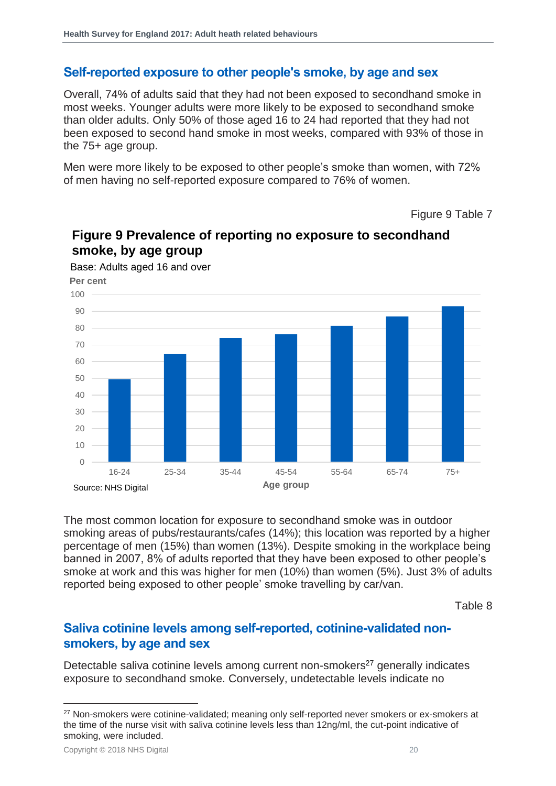#### <span id="page-19-0"></span>**Self-reported exposure to other people's smoke, by age and sex**

Overall, 74% of adults said that they had not been exposed to secondhand smoke in most weeks. Younger adults were more likely to be exposed to secondhand smoke than older adults. Only 50% of those aged 16 to 24 had reported that they had not been exposed to second hand smoke in most weeks, compared with 93% of those in the 75+ age group.

Men were more likely to be exposed to other people's smoke than women, with 72% of men having no self-reported exposure compared to 76% of women.

Figure 9 Table 7



#### **Figure 9 Prevalence of reporting no exposure to secondhand smoke, by age group**

The most common location for exposure to secondhand smoke was in outdoor smoking areas of pubs/restaurants/cafes (14%); this location was reported by a higher percentage of men (15%) than women (13%). Despite smoking in the workplace being banned in 2007, 8% of adults reported that they have been exposed to other people's smoke at work and this was higher for men (10%) than women (5%). Just 3% of adults reported being exposed to other people' smoke travelling by car/van.

Table 8

#### <span id="page-19-1"></span>**Saliva cotinine levels among self-reported, cotinine-validated nonsmokers, by age and sex**

Detectable saliva cotinine levels among current non-smokers $27$  generally indicates exposure to secondhand smoke. Conversely, undetectable levels indicate no

l

<sup>&</sup>lt;sup>27</sup> Non-smokers were cotinine-validated; meaning only self-reported never smokers or ex-smokers at the time of the nurse visit with saliva cotinine levels less than 12ng/ml, the cut-point indicative of smoking, were included.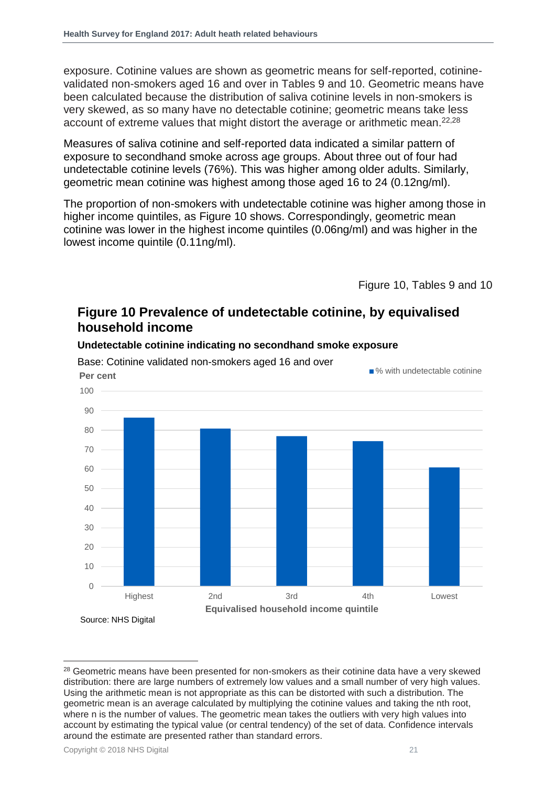exposure. Cotinine values are shown as geometric means for self-reported, cotininevalidated non-smokers aged 16 and over in Tables 9 and 10. Geometric means have been calculated because the distribution of saliva cotinine levels in non-smokers is very skewed, as so many have no detectable cotinine; geometric means take less account of extreme values that might distort the average or arithmetic mean.<sup>[22,](#page-9-2)28</sup>

Measures of saliva cotinine and self-reported data indicated a similar pattern of exposure to secondhand smoke across age groups. About three out of four had undetectable cotinine levels (76%). This was higher among older adults. Similarly, geometric mean cotinine was highest among those aged 16 to 24 (0.12ng/ml).

The proportion of non-smokers with undetectable cotinine was higher among those in higher income quintiles, as Figure 10 shows. Correspondingly, geometric mean cotinine was lower in the highest income quintiles (0.06ng/ml) and was higher in the lowest income quintile (0.11ng/ml).

Figure 10, Tables 9 and 10

#### **Figure 10 Prevalence of undetectable cotinine, by equivalised household income**



**Undetectable cotinine indicating no secondhand smoke exposure**

Base: Cotinine validated non-smokers aged 16 and over

Source: NHS Digital

l

<sup>&</sup>lt;sup>28</sup> Geometric means have been presented for non-smokers as their cotinine data have a very skewed distribution: there are large numbers of extremely low values and a small number of very high values. Using the arithmetic mean is not appropriate as this can be distorted with such a distribution. The geometric mean is an average calculated by multiplying the cotinine values and taking the nth root, where n is the number of values. The geometric mean takes the outliers with very high values into account by estimating the typical value (or central tendency) of the set of data. Confidence intervals around the estimate are presented rather than standard errors.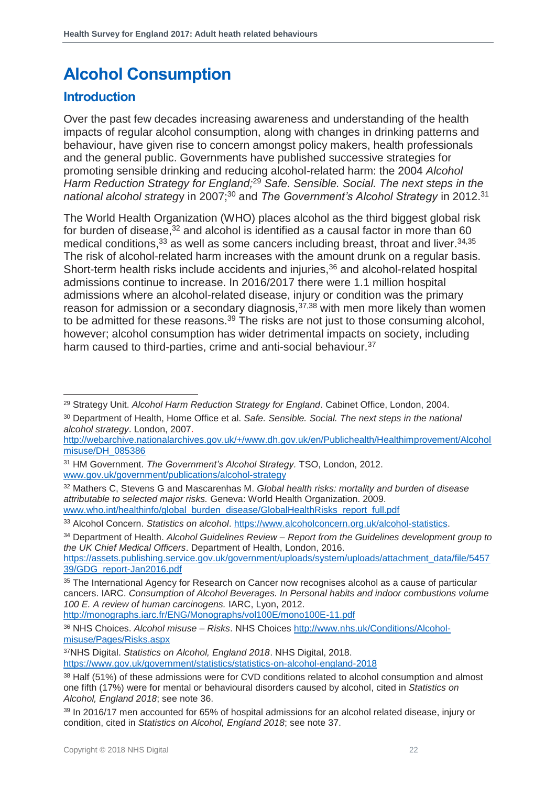## <span id="page-21-0"></span>**Alcohol Consumption**

#### <span id="page-21-1"></span>**Introduction**

<span id="page-21-2"></span>l

Over the past few decades increasing awareness and understanding of the health impacts of regular alcohol consumption, along with changes in drinking patterns and behaviour, have given rise to concern amongst policy makers, health professionals and the general public. Governments have published successive strategies for promoting sensible drinking and reducing alcohol-related harm: the 2004 *Alcohol Harm Reduction Strategy for England;*<sup>29</sup> *Safe. Sensible. Social. The next steps in the*  national alcohol strategy in 2007;<sup>30</sup> and *The Government's Alcohol Strategy* in 2012.<sup>31</sup>

The World Health Organization (WHO) places alcohol as the third biggest global risk for burden of disease,  $32$  and alcohol is identified as a causal factor in more than 60 medical conditions,  $33$  as well as some cancers including breast, throat and liver.  $34,35$ The risk of alcohol-related harm increases with the amount drunk on a regular basis. Short-term health risks include accidents and injuries,<sup>36</sup> and alcohol-related hospital admissions continue to increase. In 2016/2017 there were 1.1 million hospital admissions where an alcohol-related disease, injury or condition was the primary reason for admission or a secondary diagnosis,<sup>37,38</sup> with men more likely than women to be admitted for these reasons.<sup>39</sup> The risks are not just to those consuming alcohol, however; alcohol consumption has wider detrimental impacts on society, including harm caused to third-parties, crime and anti-social behaviour.<sup>[37](#page-21-2)</sup>

<sup>32</sup> Mathers C, Stevens G and Mascarenhas M. *Global health risks: mortality and burden of disease attributable to selected major risks.* Geneva: World Health Organization. 2009. [www.who.int/healthinfo/global\\_burden\\_disease/GlobalHealthRisks\\_report\\_full.pdf](http://www.who.int/healthinfo/global_burden_disease/GlobalHealthRisks_report_full.pdf)

<sup>34</sup> Department of Health. *Alcohol Guidelines Review – Report from the Guidelines development group to the UK Chief Medical Officers*. Department of Health, London, 2016.

<http://monographs.iarc.fr/ENG/Monographs/vol100E/mono100E-11.pdf>

<sup>36</sup> NHS Choices. *Alcohol misuse – Risks*. NHS Choices [http://www.nhs.uk/Conditions/Alcohol](http://www.nhs.uk/Conditions/Alcohol-misuse/Pages/Risks.aspx)[misuse/Pages/Risks.aspx](http://www.nhs.uk/Conditions/Alcohol-misuse/Pages/Risks.aspx)

<sup>37</sup>NHS Digital. *Statistics on Alcohol, England 2018*. NHS Digital, 2018.

<sup>29</sup> Strategy Unit. *Alcohol Harm Reduction Strategy for England*. Cabinet Office, London, 2004.

<sup>30</sup> Department of Health, Home Office et al. *Safe. Sensible. Social. The next steps in the national alcohol strategy*. London, 2007.

[http://webarchive.nationalarchives.gov.uk/+/www.dh.gov.uk/en/Publichealth/Healthimprovement/Alcohol](http://webarchive.nationalarchives.gov.uk/+/www.dh.gov.uk/en/Publichealth/Healthimprovement/Alcoholmisuse/DH_085386) [misuse/DH\\_085386](http://webarchive.nationalarchives.gov.uk/+/www.dh.gov.uk/en/Publichealth/Healthimprovement/Alcoholmisuse/DH_085386)

<sup>31</sup> HM Government. *The Government's Alcohol Strategy.* TSO, London, 2012. [www.gov.uk/government/publications/alcohol-strategy](http://www.gov.uk/government/publications/alcohol-strategy)

<sup>33</sup> Alcohol Concern. Statistics on alcohol. [https://www.alcoholconcern.org.uk/alcohol-statistics.](https://www.alcoholconcern.org.uk/alcohol-statistics)

[https://assets.publishing.service.gov.uk/government/uploads/system/uploads/attachment\\_data/file/5457](https://assets.publishing.service.gov.uk/government/uploads/system/uploads/attachment_data/file/545739/GDG_report-Jan2016.pdf) [39/GDG\\_report-Jan2016.pdf](https://assets.publishing.service.gov.uk/government/uploads/system/uploads/attachment_data/file/545739/GDG_report-Jan2016.pdf)

<sup>&</sup>lt;sup>35</sup> The International Agency for Research on Cancer now recognises alcohol as a cause of particular cancers. IARC. *Consumption of Alcohol Beverages. In Personal habits and indoor combustions volume 100 E. A review of human carcinogens.* IARC, Lyon, 2012.

<https://www.gov.uk/government/statistics/statistics-on-alcohol-england-2018>

<sup>38</sup> Half (51%) of these admissions were for CVD conditions related to alcohol consumption and almost one fifth (17%) were for mental or behavioural disorders caused by alcohol, cited in *Statistics on Alcohol, England 2018*; see note 36.

<sup>39</sup> In 2016/17 men accounted for 65% of hospital admissions for an alcohol related disease, injury or condition, cited in *Statistics on Alcohol, England 2018*; see note 37.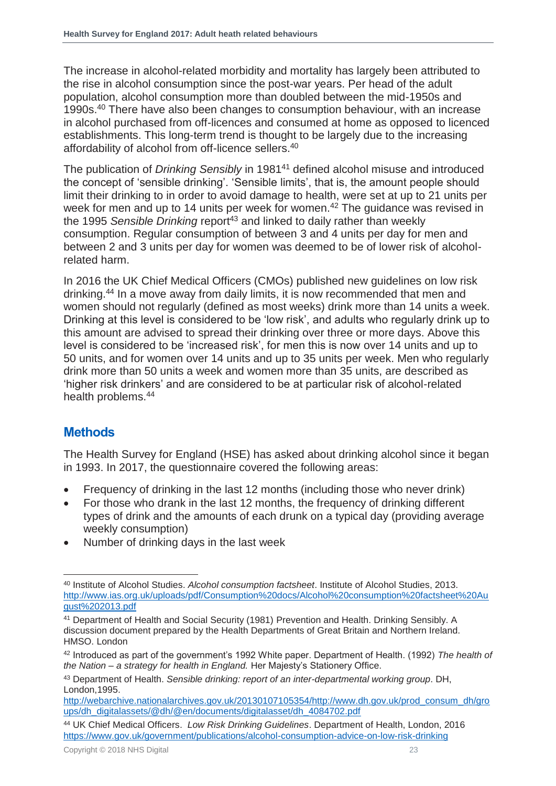<span id="page-22-1"></span>The increase in alcohol-related morbidity and mortality has largely been attributed to the rise in alcohol consumption since the post-war years. Per head of the adult population, alcohol consumption more than doubled between the mid-1950s and 1990s.<sup>40</sup> There have also been changes to consumption behaviour, with an increase in alcohol purchased from off-licences and consumed at home as opposed to licenced establishments. This long-term trend is thought to be largely due to the increasing affordability of alcohol from off-licence sellers.[40](#page-22-1)

The publication of *Drinking Sensibly* in 1981<sup>41</sup> defined alcohol misuse and introduced the concept of 'sensible drinking'. 'Sensible limits', that is, the amount people should limit their drinking to in order to avoid damage to health, were set at up to 21 units per week for men and up to 14 units per week for women.<sup>42</sup> The guidance was revised in the 1995 *Sensible Drinking* report <sup>43</sup> and linked to daily rather than weekly consumption. Regular consumption of between 3 and 4 units per day for men and between 2 and 3 units per day for women was deemed to be of lower risk of alcoholrelated harm.

<span id="page-22-2"></span>In 2016 the UK Chief Medical Officers (CMOs) published new guidelines on low risk drinking.<sup>44</sup> In a move away from daily limits, it is now recommended that men and women should not regularly (defined as most weeks) drink more than 14 units a week. Drinking at this level is considered to be 'low risk', and adults who regularly drink up to this amount are advised to spread their drinking over three or more days. Above this level is considered to be 'increased risk', for men this is now over 14 units and up to 50 units, and for women over 14 units and up to 35 units per week. Men who regularly drink more than 50 units a week and women more than 35 units, are described as 'higher risk drinkers' and are considered to be at particular risk of alcohol-related health problems.[44](#page-22-2)

#### <span id="page-22-0"></span>**Methods**

The Health Survey for England (HSE) has asked about drinking alcohol since it began in 1993. In 2017, the questionnaire covered the following areas:

- Frequency of drinking in the last 12 months (including those who never drink)
- For those who drank in the last 12 months, the frequency of drinking different types of drink and the amounts of each drunk on a typical day (providing average weekly consumption)
- Number of drinking days in the last week

l <sup>40</sup> Institute of Alcohol Studies. *Alcohol consumption factsheet*. Institute of Alcohol Studies, 2013. [http://www.ias.org.uk/uploads/pdf/Consumption%20docs/Alcohol%20consumption%20factsheet%20Au](http://www.ias.org.uk/uploads/pdf/Consumption%20docs/Alcohol%20consumption%20factsheet%20August%202013.pdf) [gust%202013.pdf](http://www.ias.org.uk/uploads/pdf/Consumption%20docs/Alcohol%20consumption%20factsheet%20August%202013.pdf)

<sup>41</sup> Department of Health and Social Security (1981) Prevention and Health. Drinking Sensibly. A discussion document prepared by the Health Departments of Great Britain and Northern Ireland. HMSO. London

<sup>42</sup> Introduced as part of the government's 1992 White paper. Department of Health. (1992) *The health of the Nation – a strategy for health in England.* Her Majesty's Stationery Office.

<sup>43</sup> Department of Health. *Sensible drinking: report of an inter-departmental working group*. DH, London,1995.

[http://webarchive.nationalarchives.gov.uk/20130107105354/http://www.dh.gov.uk/prod\\_consum\\_dh/gro](http://webarchive.nationalarchives.gov.uk/20130107105354/http:/www.dh.gov.uk/prod_consum_dh/groups/dh_digitalassets/@dh/@en/documents/digitalasset/dh_4084702.pdf) [ups/dh\\_digitalassets/@dh/@en/documents/digitalasset/dh\\_4084702.pdf](http://webarchive.nationalarchives.gov.uk/20130107105354/http:/www.dh.gov.uk/prod_consum_dh/groups/dh_digitalassets/@dh/@en/documents/digitalasset/dh_4084702.pdf)

<sup>44</sup> UK Chief Medical Officers. *Low Risk Drinking Guidelines*. Department of Health, London, 2016 <https://www.gov.uk/government/publications/alcohol-consumption-advice-on-low-risk-drinking>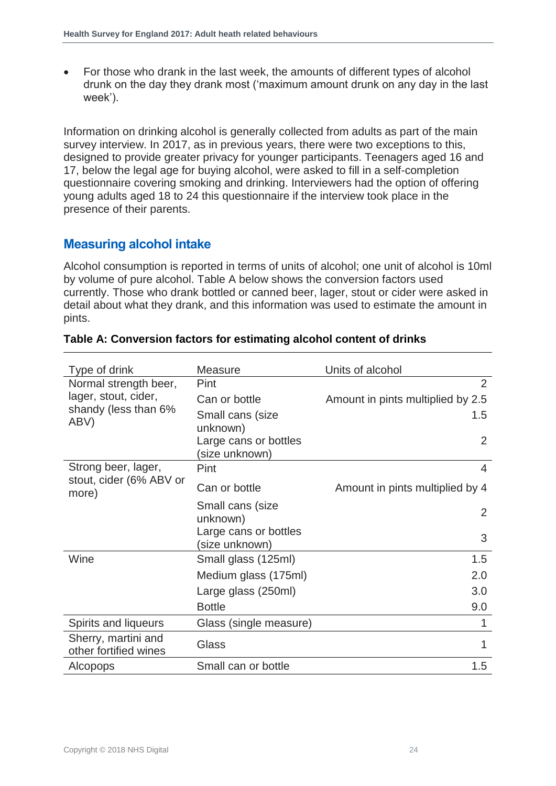• For those who drank in the last week, the amounts of different types of alcohol drunk on the day they drank most ('maximum amount drunk on any day in the last week').

Information on drinking alcohol is generally collected from adults as part of the main survey interview. In 2017, as in previous years, there were two exceptions to this, designed to provide greater privacy for younger participants. Teenagers aged 16 and 17, below the legal age for buying alcohol, were asked to fill in a self-completion questionnaire covering smoking and drinking. Interviewers had the option of offering young adults aged 18 to 24 this questionnaire if the interview took place in the presence of their parents.

#### <span id="page-23-0"></span>**Measuring alcohol intake**

Alcohol consumption is reported in terms of units of alcohol; one unit of alcohol is 10ml by volume of pure alcohol. Table A below shows the conversion factors used currently. Those who drank bottled or canned beer, lager, stout or cider were asked in detail about what they drank, and this information was used to estimate the amount in pints.

| Type of drink                                        | <b>Measure</b>                          | Units of alcohol                  |
|------------------------------------------------------|-----------------------------------------|-----------------------------------|
| Normal strength beer,                                | Pint                                    | $\overline{2}$                    |
| lager, stout, cider,<br>shandy (less than 6%<br>ABV) | Can or bottle                           | Amount in pints multiplied by 2.5 |
|                                                      | Small cans (size<br>unknown)            | 1.5                               |
|                                                      | Large cans or bottles<br>size unknown)  | $\mathcal{P}$                     |
| Strong beer, lager,                                  | Pint                                    | 4                                 |
| stout, cider (6% ABV or<br>more)                     | Can or bottle                           | Amount in pints multiplied by 4   |
|                                                      | Small cans (size<br>unknown)            | 2                                 |
|                                                      | Large cans or bottles<br>(size unknown) | 3                                 |
| Wine                                                 | Small glass (125ml)                     | 1.5                               |
|                                                      | Medium glass (175ml)                    | 2.0                               |
|                                                      | Large glass (250ml)                     | 3.0                               |
|                                                      | <b>Bottle</b>                           | 9.0                               |
| Spirits and liqueurs                                 | Glass (single measure)                  | 1                                 |
| Sherry, martini and<br>other fortified wines         | Glass                                   | 1                                 |
| <b>Alcopops</b>                                      | Small can or bottle                     | 1.5                               |

#### **Table A: Conversion factors for estimating alcohol content of drinks**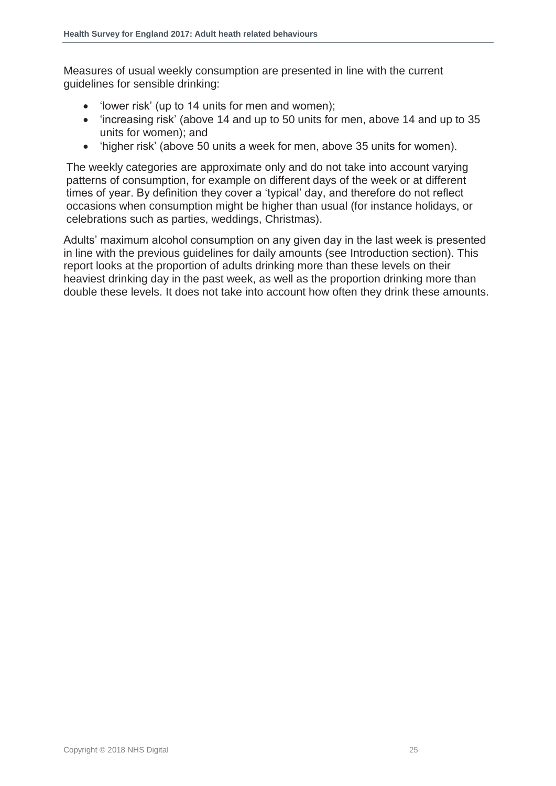Measures of usual weekly consumption are presented in line with the current guidelines for sensible drinking:

- 'lower risk' (up to 14 units for men and women);
- 'increasing risk' (above 14 and up to 50 units for men, above 14 and up to 35 units for women); and
- 'higher risk' (above 50 units a week for men, above 35 units for women).

The weekly categories are approximate only and do not take into account varying patterns of consumption, for example on different days of the week or at different times of year. By definition they cover a 'typical' day, and therefore do not reflect occasions when consumption might be higher than usual (for instance holidays, or celebrations such as parties, weddings, Christmas).

Adults' maximum alcohol consumption on any given day in the last week is presented in line with the previous guidelines for daily amounts (see Introduction section). This report looks at the proportion of adults drinking more than these levels on their heaviest drinking day in the past week, as well as the proportion drinking more than double these levels. It does not take into account how often they drink these amounts.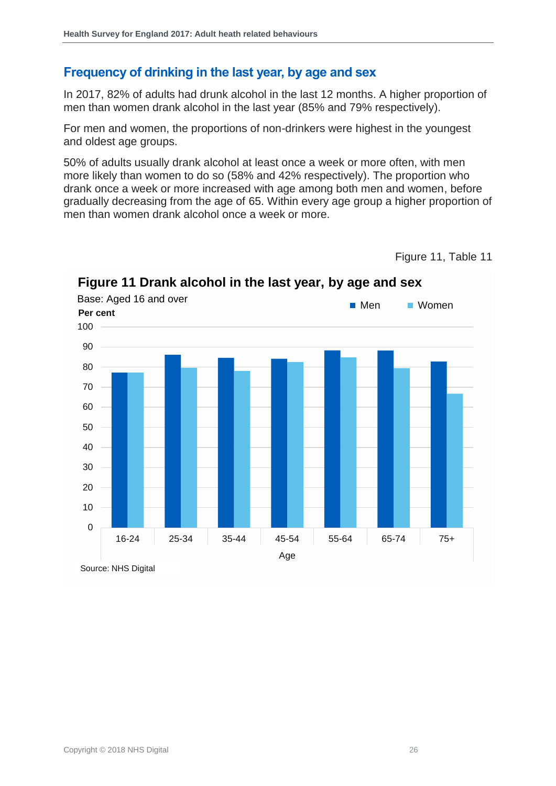#### <span id="page-25-0"></span>**Frequency of drinking in the last year, by age and sex**

In 2017, 82% of adults had drunk alcohol in the last 12 months. A higher proportion of men than women drank alcohol in the last year (85% and 79% respectively).

For men and women, the proportions of non-drinkers were highest in the youngest and oldest age groups.

50% of adults usually drank alcohol at least once a week or more often, with men more likely than women to do so (58% and 42% respectively). The proportion who drank once a week or more increased with age among both men and women, before gradually decreasing from the age of 65. Within every age group a higher proportion of men than women drank alcohol once a week or more.

 $\overline{0}$ 10 20 30  $40$ 50 60 70 80 90 100 16-24 25-34 35-44 45-54 55-64 65-74 75+ Age **Per cent** Base: Aged 16 and over **Network Base: Aged 16 and over** Source: NHS Digital **Figure 11 Drank alcohol in the last year, by age and sex**

Figure 11, Table 11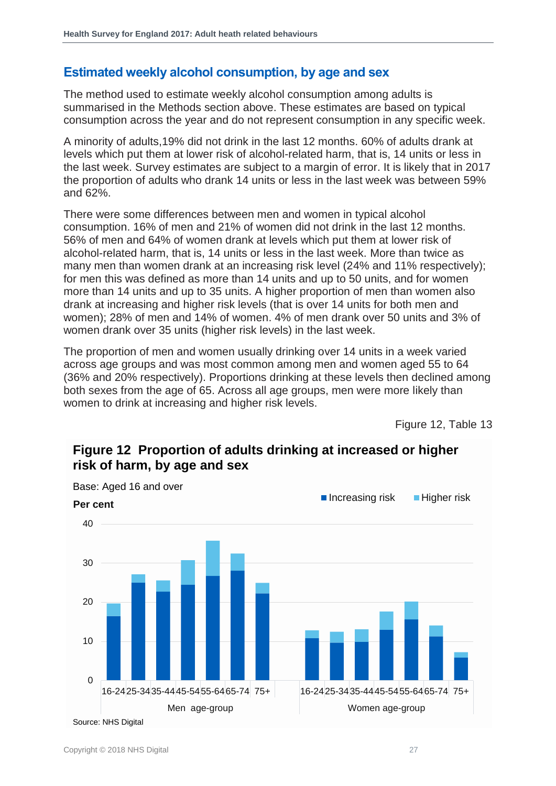#### <span id="page-26-0"></span>**Estimated weekly alcohol consumption, by age and sex**

The method used to estimate weekly alcohol consumption among adults is summarised in the Methods section above. These estimates are based on typical consumption across the year and do not represent consumption in any specific week.

A minority of adults,19% did not drink in the last 12 months. 60% of adults drank at levels which put them at lower risk of alcohol-related harm, that is, 14 units or less in the last week. Survey estimates are subject to a margin of error. It is likely that in 2017 the proportion of adults who drank 14 units or less in the last week was between 59% and 62%.

There were some differences between men and women in typical alcohol consumption. 16% of men and 21% of women did not drink in the last 12 months. 56% of men and 64% of women drank at levels which put them at lower risk of alcohol-related harm, that is, 14 units or less in the last week. More than twice as many men than women drank at an increasing risk level (24% and 11% respectively); for men this was defined as more than 14 units and up to 50 units, and for women more than 14 units and up to 35 units. A higher proportion of men than women also drank at increasing and higher risk levels (that is over 14 units for both men and women); 28% of men and 14% of women. 4% of men drank over 50 units and 3% of women drank over 35 units (higher risk levels) in the last week.

The proportion of men and women usually drinking over 14 units in a week varied across age groups and was most common among men and women aged 55 to 64 (36% and 20% respectively). Proportions drinking at these levels then declined among both sexes from the age of 65. Across all age groups, men were more likely than women to drink at increasing and higher risk levels.

Figure 12, Table 13



#### **Figure 12 Proportion of adults drinking at increased or higher risk of harm, by age and sex**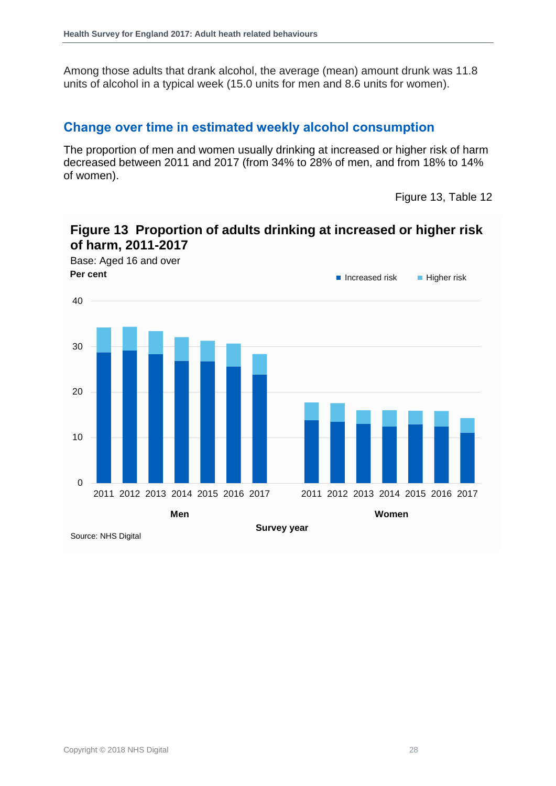Among those adults that drank alcohol, the average (mean) amount drunk was 11.8 units of alcohol in a typical week (15.0 units for men and 8.6 units for women).

#### **Change over time in estimated weekly alcohol consumption**

The proportion of men and women usually drinking at increased or higher risk of harm decreased between 2011 and 2017 (from 34% to 28% of men, and from 18% to 14% of women).

Figure 13, Table 12

#### **Figure 13 Proportion of adults drinking at increased or higher risk of harm, 2011-2017**

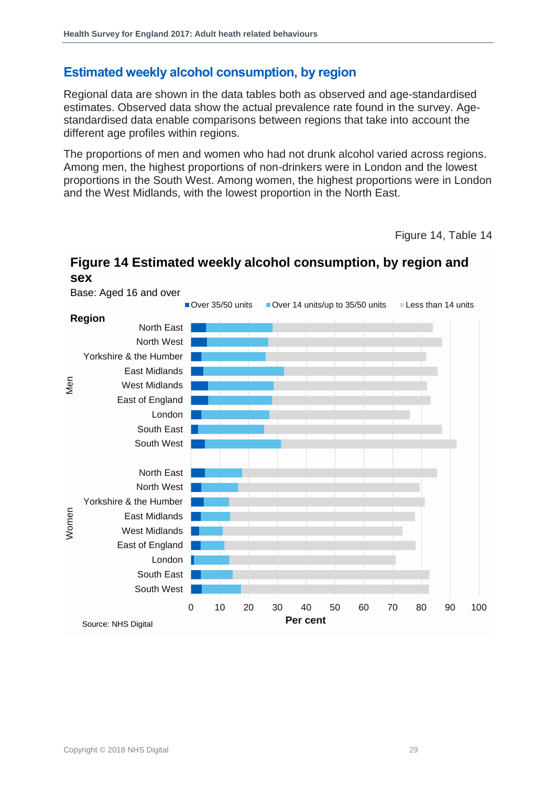#### <span id="page-28-0"></span>**Estimated weekly alcohol consumption, by region**

Regional data are shown in the data tables both as observed and age-standardised estimates. Observed data show the actual prevalence rate found in the survey. Agestandardised data enable comparisons between regions that take into account the different age profiles within regions.

The proportions of men and women who had not drunk alcohol varied across regions. Among men, the highest proportions of non-drinkers were in London and the lowest proportions in the South West. Among women, the highest proportions were in London and the West Midlands, with the lowest proportion in the North East.

Figure 14, Table 14



#### **Figure 14 Estimated weekly alcohol consumption, by region and sex**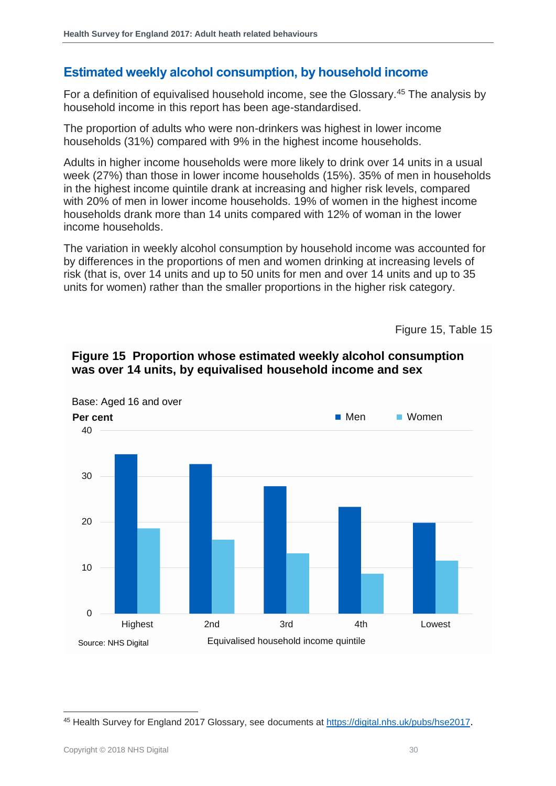#### <span id="page-29-0"></span>**Estimated weekly alcohol consumption, by household income**

For a definition of equivalised household income, see the Glossary.<sup>45</sup> The analysis by household income in this report has been age-standardised.

The proportion of adults who were non-drinkers was highest in lower income households (31%) compared with 9% in the highest income households.

Adults in higher income households were more likely to drink over 14 units in a usual week (27%) than those in lower income households (15%). 35% of men in households in the highest income quintile drank at increasing and higher risk levels, compared with 20% of men in lower income households. 19% of women in the highest income households drank more than 14 units compared with 12% of woman in the lower income households.

The variation in weekly alcohol consumption by household income was accounted for by differences in the proportions of men and women drinking at increasing levels of risk (that is, over 14 units and up to 50 units for men and over 14 units and up to 35 units for women) rather than the smaller proportions in the higher risk category.

Figure 15, Table 15



#### **Figure 15 Proportion whose estimated weekly alcohol consumption was over 14 units, by equivalised household income and sex**

l

<sup>45</sup> Health Survey for England 2017 Glossary, see documents at<https://digital.nhs.uk/pubs/hse2017>.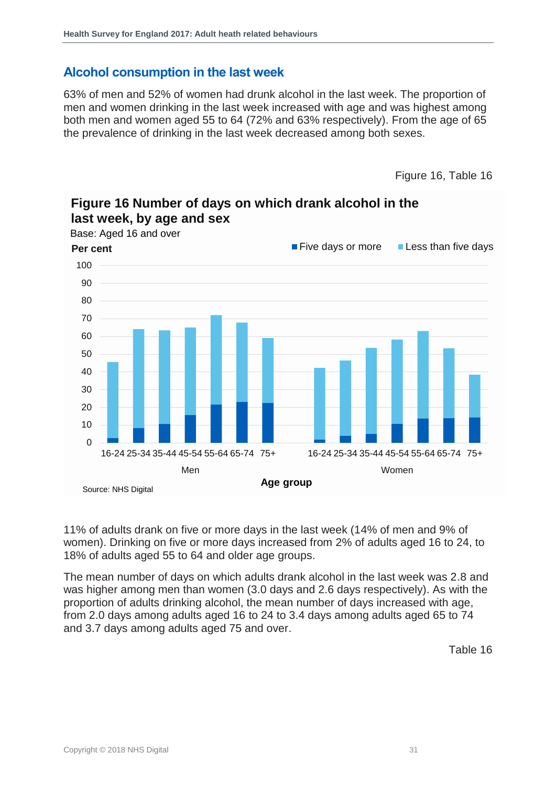#### <span id="page-30-0"></span>**Alcohol consumption in the last week**

63% of men and 52% of women had drunk alcohol in the last week. The proportion of men and women drinking in the last week increased with age and was highest among both men and women aged 55 to 64 (72% and 63% respectively). From the age of 65 the prevalence of drinking in the last week decreased among both sexes.



**Figure 16 Number of days on which drank alcohol in the last week, by age and sex** Base: Aged 16 and over

11% of adults drank on five or more days in the last week (14% of men and 9% of women). Drinking on five or more days increased from 2% of adults aged 16 to 24, to 18% of adults aged 55 to 64 and older age groups.

The mean number of days on which adults drank alcohol in the last week was 2.8 and was higher among men than women (3.0 days and 2.6 days respectively). As with the proportion of adults drinking alcohol, the mean number of days increased with age, from 2.0 days among adults aged 16 to 24 to 3.4 days among adults aged 65 to 74 and 3.7 days among adults aged 75 and over.

Table 16

Figure 16, Table 16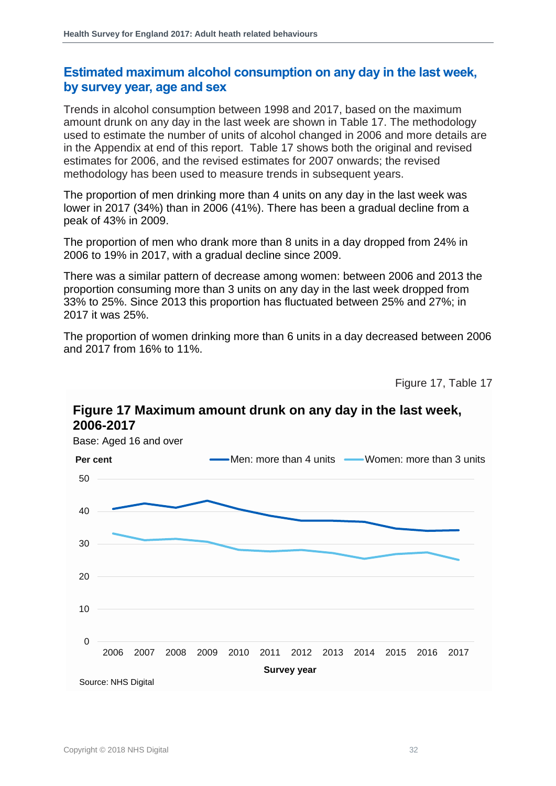#### <span id="page-31-0"></span>**Estimated maximum alcohol consumption on any day in the last week, by survey year, age and sex**

Trends in alcohol consumption between 1998 and 2017, based on the maximum amount drunk on any day in the last week are shown in Table 17. The methodology used to estimate the number of units of alcohol changed in 2006 and more details are in the Appendix at end of this report. Table 17 shows both the original and revised estimates for 2006, and the revised estimates for 2007 onwards; the revised methodology has been used to measure trends in subsequent years.

The proportion of men drinking more than 4 units on any day in the last week was lower in 2017 (34%) than in 2006 (41%). There has been a gradual decline from a peak of 43% in 2009.

The proportion of men who drank more than 8 units in a day dropped from 24% in 2006 to 19% in 2017, with a gradual decline since 2009.

There was a similar pattern of decrease among women: between 2006 and 2013 the proportion consuming more than 3 units on any day in the last week dropped from 33% to 25%. Since 2013 this proportion has fluctuated between 25% and 27%; in 2017 it was 25%.

The proportion of women drinking more than 6 units in a day decreased between 2006 and 2017 from 16% to 11%.

Figure 17, Table 17



#### **Figure 17 Maximum amount drunk on any day in the last week, 2006-2017**

Copyright © 2018 NHS Digital 32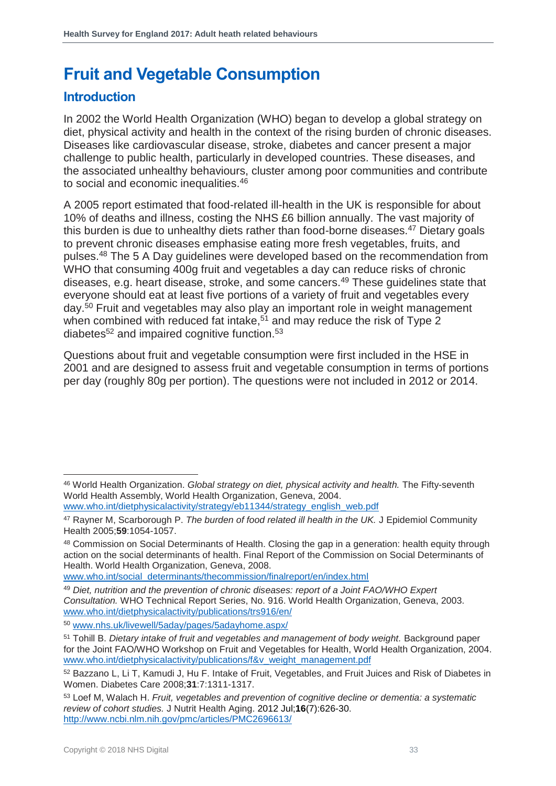## <span id="page-32-0"></span>**Fruit and Vegetable Consumption**

#### <span id="page-32-1"></span>**Introduction**

In 2002 the World Health Organization (WHO) began to develop a global strategy on diet, physical activity and health in the context of the rising burden of chronic diseases. Diseases like cardiovascular disease, stroke, diabetes and cancer present a major challenge to public health, particularly in developed countries. These diseases, and the associated unhealthy behaviours, cluster among poor communities and contribute to social and economic inequalities.<sup>46</sup>

A 2005 report estimated that food-related ill-health in the UK is responsible for about 10% of deaths and illness, costing the NHS £6 billion annually. The vast majority of this burden is due to unhealthy diets rather than food-borne diseases.<sup>47</sup> Dietary goals to prevent chronic diseases emphasise eating more fresh vegetables, fruits, and pulses.<sup>48</sup> The 5 A Day guidelines were developed based on the recommendation from WHO that consuming 400g fruit and vegetables a day can reduce risks of chronic diseases, e.g. heart disease, stroke, and some cancers.<sup>49</sup> These guidelines state that everyone should eat at least five portions of a variety of fruit and vegetables every day.<sup>50</sup> Fruit and vegetables may also play an important role in weight management when combined with reduced fat intake,<sup>51</sup> and may reduce the risk of Type  $2$ diabetes<sup>52</sup> and impaired cognitive function.<sup>53</sup>

Questions about fruit and vegetable consumption were first included in the HSE in 2001 and are designed to assess fruit and vegetable consumption in terms of portions per day (roughly 80g per portion). The questions were not included in 2012 or 2014.

[www.who.int/social\\_determinants/thecommission/finalreport/en/index.html](http://www.who.int/social_determinants/thecommission/finalreport/en/index.html)

l

<sup>46</sup> World Health Organization. *Global strategy on diet, physical activity and health.* The Fifty-seventh World Health Assembly, World Health Organization, Geneva, 2004. [www.who.int/dietphysicalactivity/strategy/eb11344/strategy\\_english\\_web.pdf](http://www.who.int/dietphysicalactivity/strategy/eb11344/strategy_english_web.pdf)

<sup>47</sup> Rayner M, Scarborough P. *The burden of food related ill health in the UK.* J Epidemiol Community Health 2005;**59**:1054-1057.

<sup>48</sup> Commission on Social Determinants of Health. Closing the gap in a generation: health equity through action on the social determinants of health. Final Report of the Commission on Social Determinants of Health. World Health Organization, Geneva, 2008.

<sup>49</sup> *Diet, nutrition and the prevention of chronic diseases: report of a Joint FAO/WHO Expert Consultation.* WHO Technical Report Series, No. 916. World Health Organization, Geneva, 2003. [www.who.int/dietphysicalactivity/publications/trs916/en/](http://www.who.int/dietphysicalactivity/publications/trs916/en/)

<sup>50</sup> [www.nhs.uk/livewell/5aday/pages/5adayhome.aspx/](http://www.nhs.uk/livewell/5aday/pages/5adayhome.aspx/)

<sup>&</sup>lt;sup>51</sup> Tohill B. *Dietary intake of fruit and vegetables and management of body weight.* Background paper for the Joint FAO/WHO Workshop on Fruit and Vegetables for Health, World Health Organization, 2004. [www.who.int/dietphysicalactivity/publications/f&v\\_weight\\_management.pdf](http://www.who.int/dietphysicalactivity/publications/f&v_weight_management.pdf)

<sup>52</sup> Bazzano L, Li T, Kamudi J, Hu F. Intake of Fruit, Vegetables, and Fruit Juices and Risk of Diabetes in Women. Diabetes Care 2008;**31**:7:1311-1317.

<sup>53</sup> Loef M, Walach H. *Fruit, vegetables and prevention of cognitive decline or dementia: a systematic review of cohort studies.* J Nutrit Health Aging. 2012 Jul;**16**(7):626-30. <http://www.ncbi.nlm.nih.gov/pmc/articles/PMC2696613/>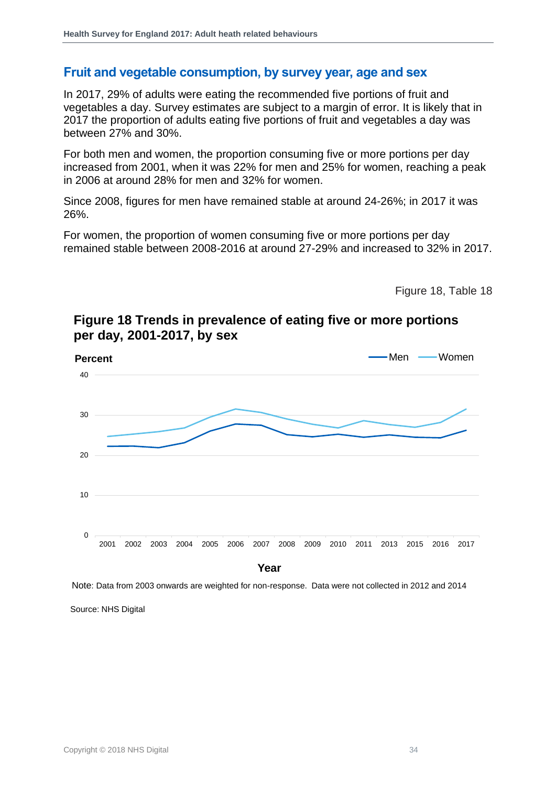#### <span id="page-33-0"></span>**Fruit and vegetable consumption, by survey year, age and sex**

In 2017, 29% of adults were eating the recommended five portions of fruit and vegetables a day. Survey estimates are subject to a margin of error. It is likely that in 2017 the proportion of adults eating five portions of fruit and vegetables a day was between 27% and 30%.

For both men and women, the proportion consuming five or more portions per day increased from 2001, when it was 22% for men and 25% for women, reaching a peak in 2006 at around 28% for men and 32% for women.

Since 2008, figures for men have remained stable at around 24-26%; in 2017 it was 26%.

For women, the proportion of women consuming five or more portions per day remained stable between 2008-2016 at around 27-29% and increased to 32% in 2017.

Figure 18, Table 18

#### **Figure 18 Trends in prevalence of eating five or more portions per day, 2001-2017, by sex**



Note: Data from 2003 onwards are weighted for non-response. Data were not collected in 2012 and 2014

Source: NHS Digital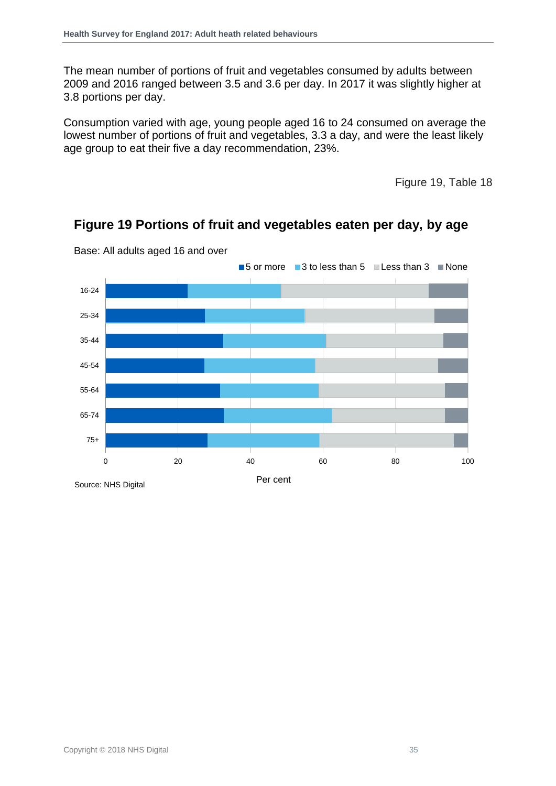The mean number of portions of fruit and vegetables consumed by adults between 2009 and 2016 ranged between 3.5 and 3.6 per day. In 2017 it was slightly higher at 3.8 portions per day.

Consumption varied with age, young people aged 16 to 24 consumed on average the lowest number of portions of fruit and vegetables, 3.3 a day, and were the least likely age group to eat their five a day recommendation, 23%.

Figure 19, Table 18

#### **Figure 19 Portions of fruit and vegetables eaten per day, by age**



Base: All adults aged 16 and over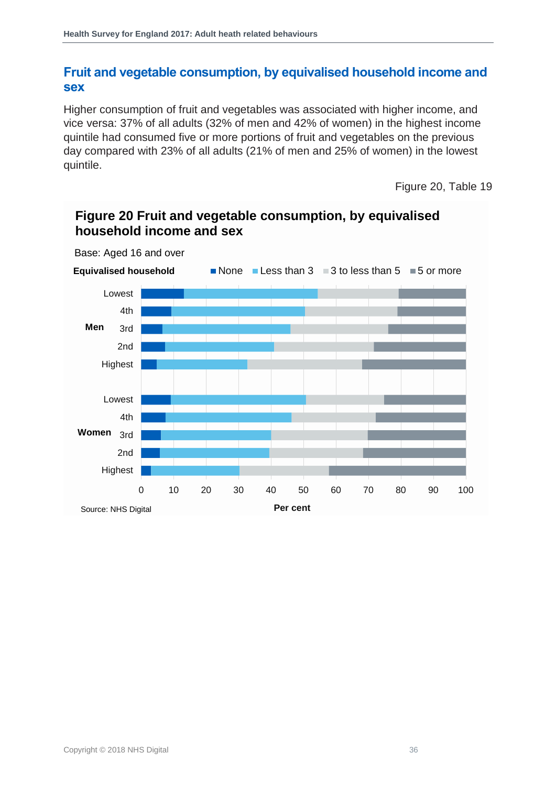#### <span id="page-35-0"></span>**Fruit and vegetable consumption, by equivalised household income and sex**

Higher consumption of fruit and vegetables was associated with higher income, and vice versa: 37% of all adults (32% of men and 42% of women) in the highest income quintile had consumed five or more portions of fruit and vegetables on the previous day compared with 23% of all adults (21% of men and 25% of women) in the lowest quintile.

Figure 20, Table 19

#### **Figure 20 Fruit and vegetable consumption, by equivalised household income and sex**



Base: Aged 16 and over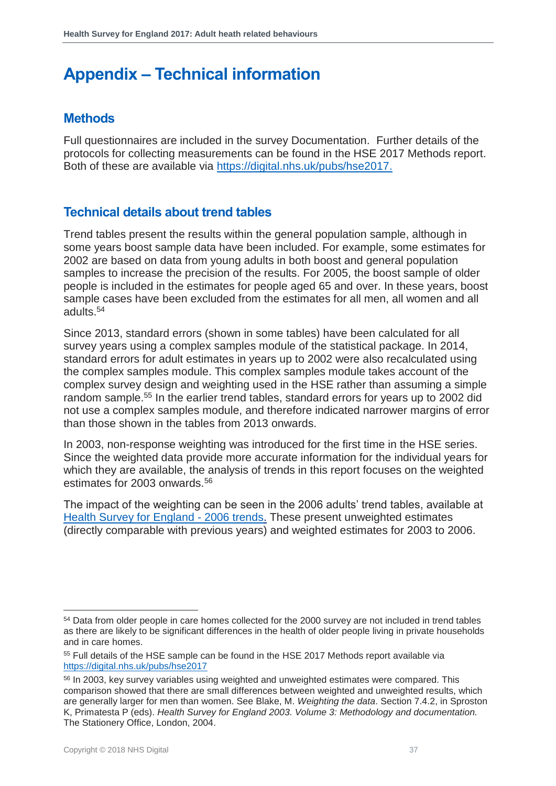### <span id="page-36-0"></span>**Appendix – Technical information**

#### <span id="page-36-1"></span>**Methods**

Full questionnaires are included in the survey Documentation. Further details of the protocols for collecting measurements can be found in the HSE 2017 Methods report. Both of these are available via [https://digital.nhs.uk/pubs/hse2017.](https://digital.nhs.uk/pubs/hse2017)

#### <span id="page-36-2"></span>**Technical details about trend tables**

Trend tables present the results within the general population sample, although in some years boost sample data have been included. For example, some estimates for 2002 are based on data from young adults in both boost and general population samples to increase the precision of the results. For 2005, the boost sample of older people is included in the estimates for people aged 65 and over. In these years, boost sample cases have been excluded from the estimates for all men, all women and all adults.<sup>54</sup>

Since 2013, standard errors (shown in some tables) have been calculated for all survey years using a complex samples module of the statistical package. In 2014, standard errors for adult estimates in years up to 2002 were also recalculated using the complex samples module. This complex samples module takes account of the complex survey design and weighting used in the HSE rather than assuming a simple random sample.<sup>55</sup> In the earlier trend tables, standard errors for years up to 2002 did not use a complex samples module, and therefore indicated narrower margins of error than those shown in the tables from 2013 onwards.

In 2003, non-response weighting was introduced for the first time in the HSE series. Since the weighted data provide more accurate information for the individual years for which they are available, the analysis of trends in this report focuses on the weighted estimates for 2003 onwards.<sup>56</sup>

The impact of the weighting can be seen in the 2006 adults' trend tables, available at [Health Survey for England -](https://digital.nhs.uk/data-and-information/publications/statistical/health-survey-for-england/health-survey-for-england-2006-latest-trends) 2006 trends. These present unweighted estimates (directly comparable with previous years) and weighted estimates for 2003 to 2006.

 $\overline{a}$ <sup>54</sup> Data from older people in care homes collected for the 2000 survey are not included in trend tables as there are likely to be significant differences in the health of older people living in private households and in care homes.

<sup>&</sup>lt;sup>55</sup> Full details of the HSE sample can be found in the HSE 2017 Methods report available via <https://digital.nhs.uk/pubs/hse2017>

<sup>&</sup>lt;sup>56</sup> In 2003, key survey variables using weighted and unweighted estimates were compared. This comparison showed that there are small differences between weighted and unweighted results, which are generally larger for men than women. See Blake, M. *Weighting the data*. Section 7.4.2, in Sproston K, Primatesta P (eds). *Health Survey for England 2003. Volume 3: Methodology and documentation.* The Stationery Office, London, 2004.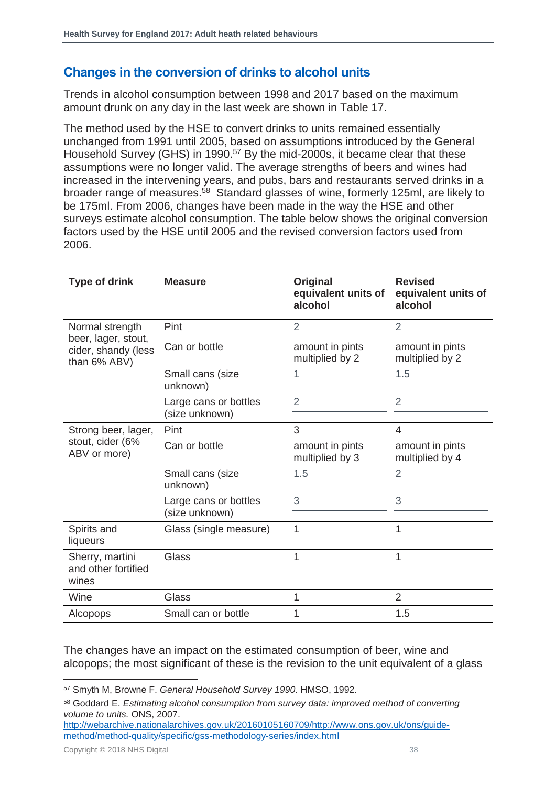#### <span id="page-37-0"></span>**Changes in the conversion of drinks to alcohol units**

Trends in alcohol consumption between 1998 and 2017 based on the maximum amount drunk on any day in the last week are shown in Table 17.

The method used by the HSE to convert drinks to units remained essentially unchanged from 1991 until 2005, based on assumptions introduced by the General Household Survey (GHS) in 1990.<sup>57</sup> By the mid-2000s, it became clear that these assumptions were no longer valid. The average strengths of beers and wines had increased in the intervening years, and pubs, bars and restaurants served drinks in a broader range of measures.<sup>58</sup> Standard glasses of wine, formerly 125ml, are likely to be 175ml. From 2006, changes have been made in the way the HSE and other surveys estimate alcohol consumption. The table below shows the original conversion factors used by the HSE until 2005 and the revised conversion factors used from 2006.

| <b>Type of drink</b>                                       | <b>Measure</b>                          | Original<br>equivalent units of<br>alcohol | <b>Revised</b><br>equivalent units of<br>alcohol |
|------------------------------------------------------------|-----------------------------------------|--------------------------------------------|--------------------------------------------------|
| Normal strength                                            | Pint                                    | $\overline{2}$                             | $\overline{2}$                                   |
| beer, lager, stout,<br>cider, shandy (less<br>than 6% ABV) | Can or bottle                           | amount in pints<br>multiplied by 2         | amount in pints<br>multiplied by 2               |
|                                                            | Small cans (size<br>unknown)            | 1                                          | 1.5                                              |
|                                                            | Large cans or bottles<br>(size unknown) | $\overline{2}$                             | $\overline{2}$                                   |
| Strong beer, lager,                                        | Pint                                    | 3                                          | 4                                                |
| stout, cider (6%<br>ABV or more)                           | Can or bottle                           | amount in pints<br>multiplied by 3         | amount in pints<br>multiplied by 4               |
|                                                            | Small cans (size<br>unknown)            | 1.5                                        | $\overline{2}$                                   |
|                                                            | Large cans or bottles<br>(size unknown) | 3                                          | 3                                                |
| Spirits and<br>liqueurs                                    | Glass (single measure)                  | $\overline{1}$                             | 1                                                |
| Sherry, martini<br>and other fortified<br>wines            | Glass                                   | $\mathbf{1}$                               | 1                                                |
| Wine                                                       | Glass                                   | 1                                          | $\overline{2}$                                   |
| Alcopops                                                   | Small can or bottle                     | 1                                          | 1.5                                              |

The changes have an impact on the estimated consumption of beer, wine and alcopops; the most significant of these is the revision to the unit equivalent of a glass

l

<sup>57</sup> Smyth M, Browne F. *General Household Survey 1990.* HMSO, 1992.

<sup>58</sup> Goddard E. *Estimating alcohol consumption from survey data: improved method of converting volume to units.* ONS, 2007.

[http://webarchive.nationalarchives.gov.uk/20160105160709/http://www.ons.gov.uk/ons/guide](http://webarchive.nationalarchives.gov.uk/20160105160709/http:/www.ons.gov.uk/ons/guide-method/method-quality/specific/gss-methodology-series/index.html)[method/method-quality/specific/gss-methodology-series/index.html](http://webarchive.nationalarchives.gov.uk/20160105160709/http:/www.ons.gov.uk/ons/guide-method/method-quality/specific/gss-methodology-series/index.html)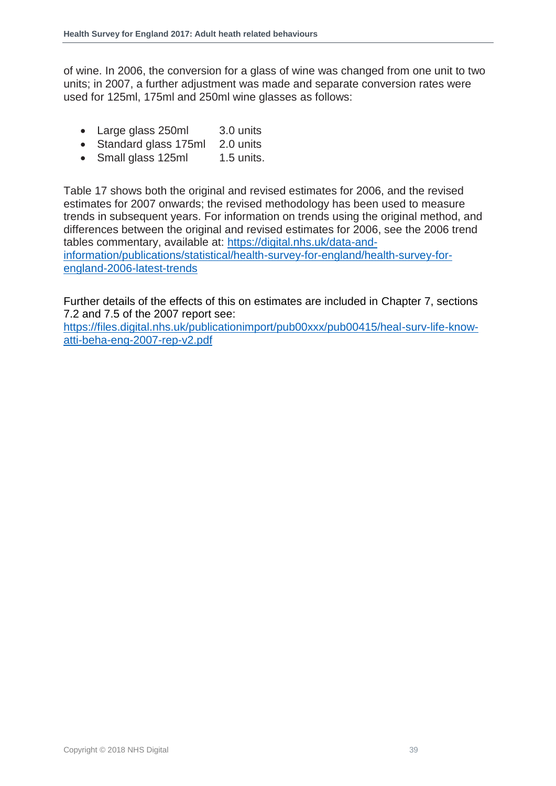of wine. In 2006, the conversion for a glass of wine was changed from one unit to two units; in 2007, a further adjustment was made and separate conversion rates were used for 125ml, 175ml and 250ml wine glasses as follows:

- Large glass 250ml 3.0 units
- Standard glass 175ml 2.0 units
- Small glass 125ml 1.5 units.

Table 17 shows both the original and revised estimates for 2006, and the revised estimates for 2007 onwards; the revised methodology has been used to measure trends in subsequent years. For information on trends using the original method, and differences between the original and revised estimates for 2006, see the 2006 trend tables commentary, available at: [https://digital.nhs.uk/data-and](https://digital.nhs.uk/data-and-information/publications/statistical/health-survey-for-england/health-survey-for-england-2006-latest-trends)[information/publications/statistical/health-survey-for-england/health-survey-for](https://digital.nhs.uk/data-and-information/publications/statistical/health-survey-for-england/health-survey-for-england-2006-latest-trends)[england-2006-latest-trends](https://digital.nhs.uk/data-and-information/publications/statistical/health-survey-for-england/health-survey-for-england-2006-latest-trends)

Further details of the effects of this on estimates are included in Chapter 7, sections 7.2 and 7.5 of the 2007 report see:

[https://files.digital.nhs.uk/publicationimport/pub00xxx/pub00415/heal-surv-life-know](https://files.digital.nhs.uk/publicationimport/pub00xxx/pub00415/heal-surv-life-know-atti-beha-eng-2007-rep-v2.pdf)[atti-beha-eng-2007-rep-v2.pdf](https://files.digital.nhs.uk/publicationimport/pub00xxx/pub00415/heal-surv-life-know-atti-beha-eng-2007-rep-v2.pdf)